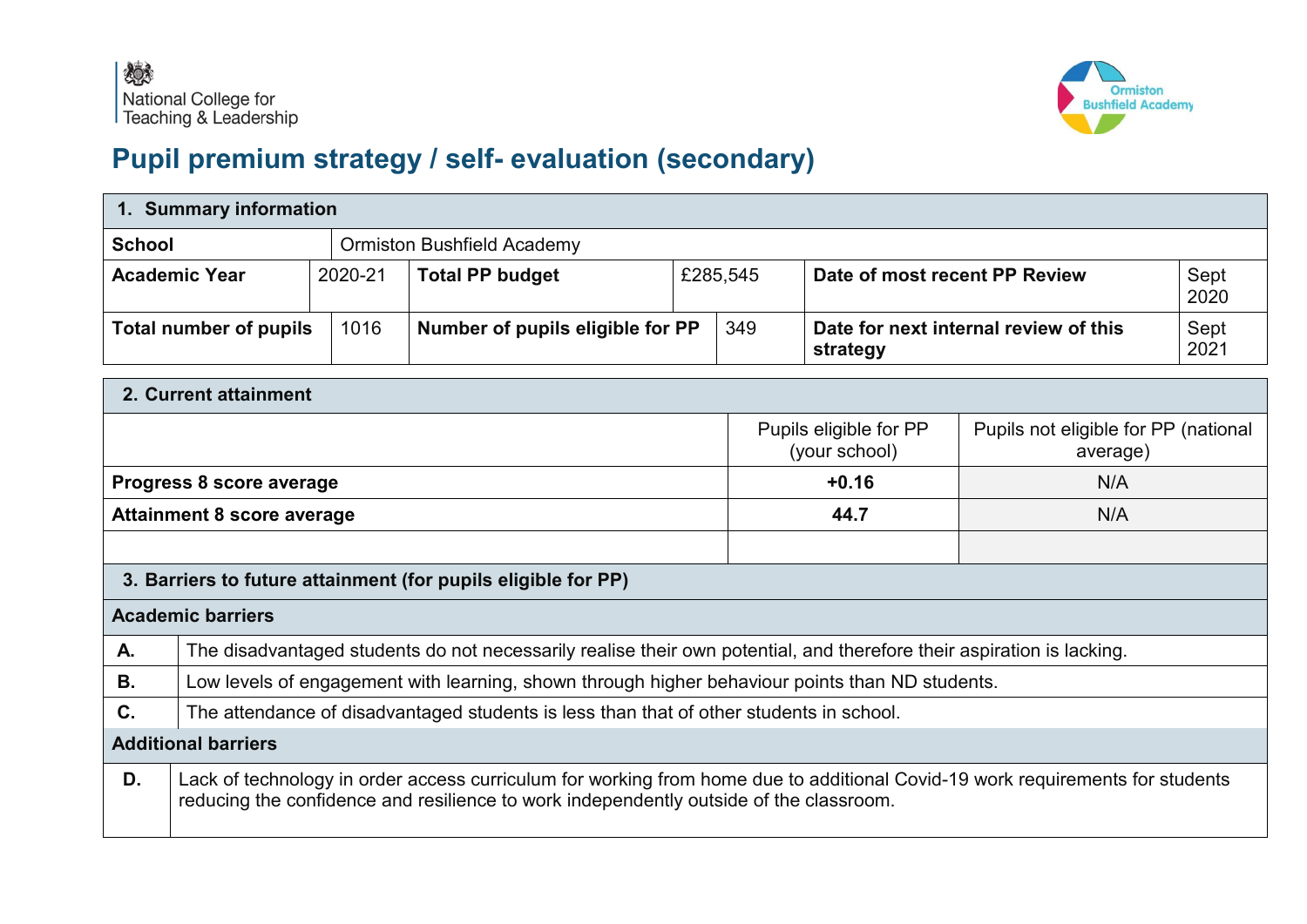

## **Pupil premium strategy / self- evaluation (secondary)**

|                                            | 1. Summary information        |         |                                                                                                                                                                                                                         |          |                                      |                                                   |  |              |
|--------------------------------------------|-------------------------------|---------|-------------------------------------------------------------------------------------------------------------------------------------------------------------------------------------------------------------------------|----------|--------------------------------------|---------------------------------------------------|--|--------------|
| <b>School</b>                              |                               |         | <b>Ormiston Bushfield Academy</b>                                                                                                                                                                                       |          |                                      |                                                   |  |              |
|                                            | <b>Academic Year</b>          | 2020-21 | <b>Total PP budget</b>                                                                                                                                                                                                  |          | £285,545                             | Date of most recent PP Review                     |  | Sept<br>2020 |
|                                            | <b>Total number of pupils</b> | 1016    | Number of pupils eligible for PP                                                                                                                                                                                        |          | 349                                  | Date for next internal review of this<br>strategy |  | Sept<br>2021 |
|                                            | 2. Current attainment         |         |                                                                                                                                                                                                                         |          |                                      |                                                   |  |              |
| Pupils eligible for PP<br>(your school)    |                               |         |                                                                                                                                                                                                                         | average) | Pupils not eligible for PP (national |                                                   |  |              |
| $+0.16$<br>Progress 8 score average<br>N/A |                               |         |                                                                                                                                                                                                                         |          |                                      |                                                   |  |              |
| <b>Attainment 8 score average</b>          |                               |         |                                                                                                                                                                                                                         | 44.7     | N/A                                  |                                                   |  |              |
|                                            |                               |         |                                                                                                                                                                                                                         |          |                                      |                                                   |  |              |
|                                            |                               |         | 3. Barriers to future attainment (for pupils eligible for PP)                                                                                                                                                           |          |                                      |                                                   |  |              |
|                                            | <b>Academic barriers</b>      |         |                                                                                                                                                                                                                         |          |                                      |                                                   |  |              |
| А.                                         |                               |         | The disadvantaged students do not necessarily realise their own potential, and therefore their aspiration is lacking.                                                                                                   |          |                                      |                                                   |  |              |
| В.                                         |                               |         | Low levels of engagement with learning, shown through higher behaviour points than ND students.                                                                                                                         |          |                                      |                                                   |  |              |
| C.                                         |                               |         | The attendance of disadvantaged students is less than that of other students in school.                                                                                                                                 |          |                                      |                                                   |  |              |
|                                            | <b>Additional barriers</b>    |         |                                                                                                                                                                                                                         |          |                                      |                                                   |  |              |
| D.                                         |                               |         | Lack of technology in order access curriculum for working from home due to additional Covid-19 work requirements for students<br>reducing the confidence and resilience to work independently outside of the classroom. |          |                                      |                                                   |  |              |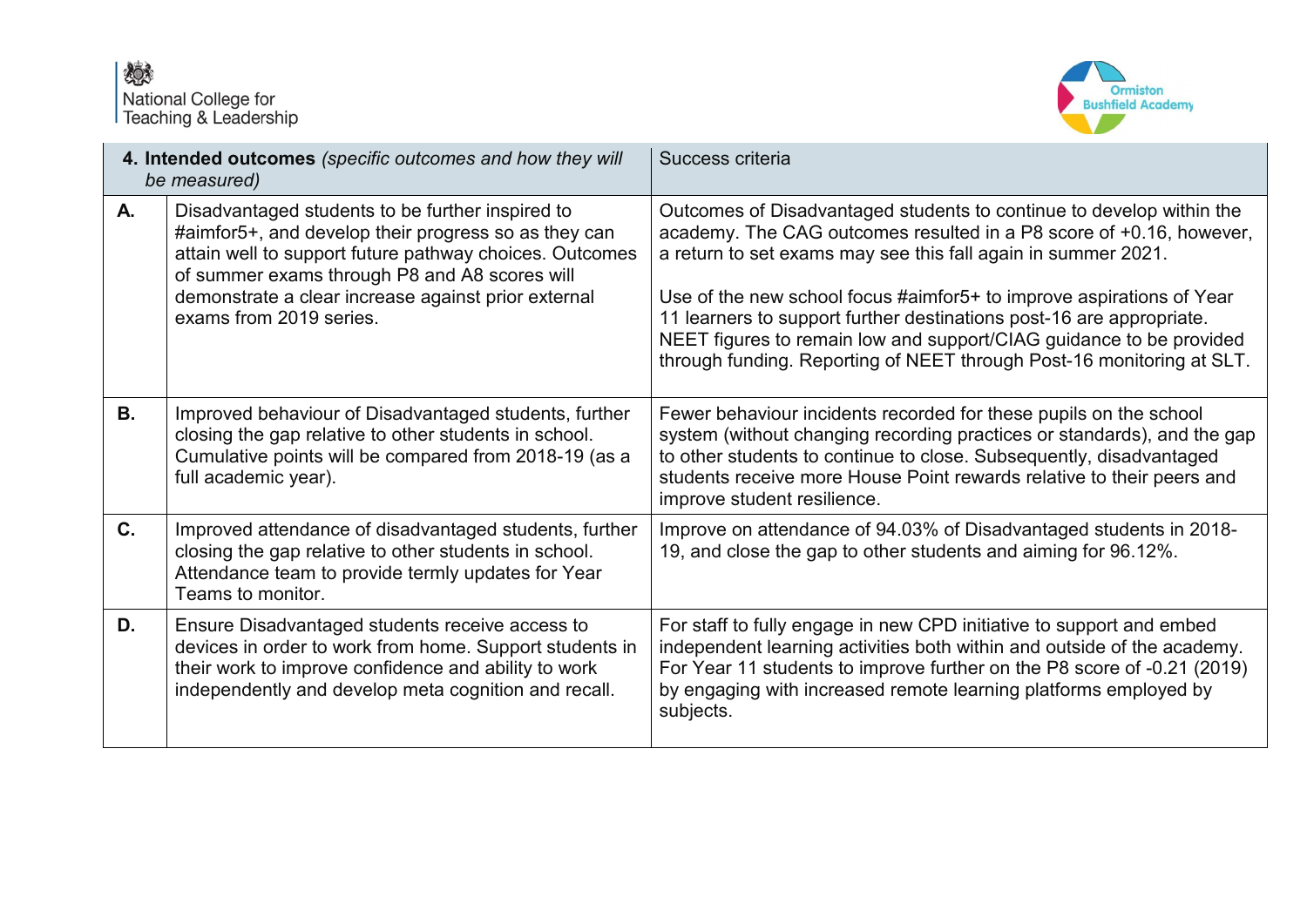

|    | 4. Intended outcomes (specific outcomes and how they will<br>be measured)                                                                                                                                                                                                                              | Success criteria                                                                                                                                                                                                                                                                                                                                                                                                                                                                                             |
|----|--------------------------------------------------------------------------------------------------------------------------------------------------------------------------------------------------------------------------------------------------------------------------------------------------------|--------------------------------------------------------------------------------------------------------------------------------------------------------------------------------------------------------------------------------------------------------------------------------------------------------------------------------------------------------------------------------------------------------------------------------------------------------------------------------------------------------------|
| А. | Disadvantaged students to be further inspired to<br>#aimfor5+, and develop their progress so as they can<br>attain well to support future pathway choices. Outcomes<br>of summer exams through P8 and A8 scores will<br>demonstrate a clear increase against prior external<br>exams from 2019 series. | Outcomes of Disadvantaged students to continue to develop within the<br>academy. The CAG outcomes resulted in a P8 score of +0.16, however,<br>a return to set exams may see this fall again in summer 2021.<br>Use of the new school focus #aimfor5+ to improve aspirations of Year<br>11 learners to support further destinations post-16 are appropriate.<br>NEET figures to remain low and support/CIAG guidance to be provided<br>through funding. Reporting of NEET through Post-16 monitoring at SLT. |
| В. | Improved behaviour of Disadvantaged students, further<br>closing the gap relative to other students in school.<br>Cumulative points will be compared from 2018-19 (as a<br>full academic year).                                                                                                        | Fewer behaviour incidents recorded for these pupils on the school<br>system (without changing recording practices or standards), and the gap<br>to other students to continue to close. Subsequently, disadvantaged<br>students receive more House Point rewards relative to their peers and<br>improve student resilience.                                                                                                                                                                                  |
| C. | Improved attendance of disadvantaged students, further<br>closing the gap relative to other students in school.<br>Attendance team to provide termly updates for Year<br>Teams to monitor.                                                                                                             | Improve on attendance of 94.03% of Disadvantaged students in 2018-<br>19, and close the gap to other students and aiming for 96.12%.                                                                                                                                                                                                                                                                                                                                                                         |
| D. | Ensure Disadvantaged students receive access to<br>devices in order to work from home. Support students in<br>their work to improve confidence and ability to work<br>independently and develop meta cognition and recall.                                                                             | For staff to fully engage in new CPD initiative to support and embed<br>independent learning activities both within and outside of the academy.<br>For Year 11 students to improve further on the P8 score of -0.21 (2019)<br>by engaging with increased remote learning platforms employed by<br>subjects.                                                                                                                                                                                                  |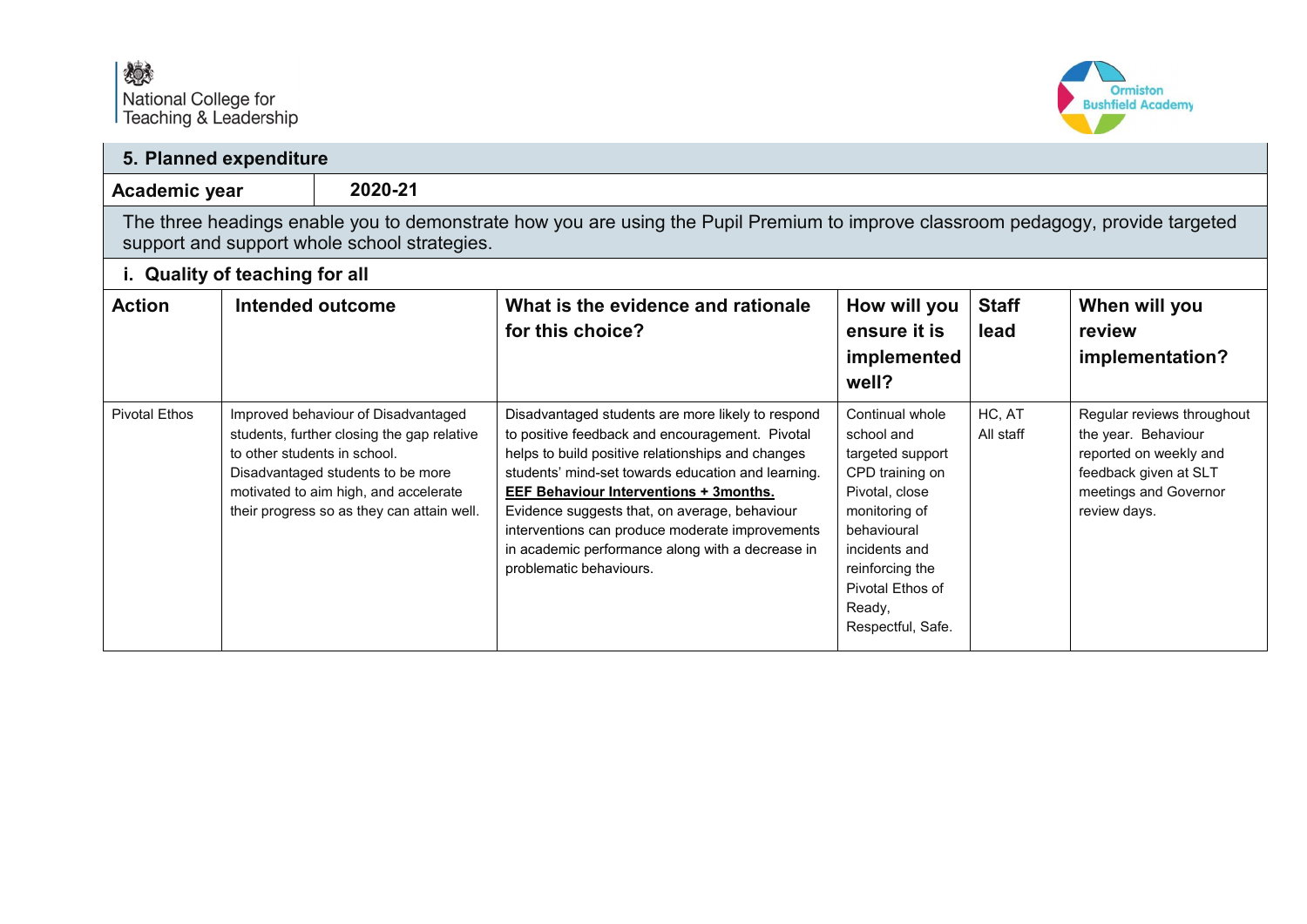

| 5. Planned expenditure         |                                                                                                                                                                                  |                                                                                                                                                                                                                                               |                                                                                                                                                                                                                                                                                                                                                                                                                                                     |                                                                                                                                                                                                               |                      |                                                                                                                                               |  |
|--------------------------------|----------------------------------------------------------------------------------------------------------------------------------------------------------------------------------|-----------------------------------------------------------------------------------------------------------------------------------------------------------------------------------------------------------------------------------------------|-----------------------------------------------------------------------------------------------------------------------------------------------------------------------------------------------------------------------------------------------------------------------------------------------------------------------------------------------------------------------------------------------------------------------------------------------------|---------------------------------------------------------------------------------------------------------------------------------------------------------------------------------------------------------------|----------------------|-----------------------------------------------------------------------------------------------------------------------------------------------|--|
|                                | 2020-21<br>Academic year                                                                                                                                                         |                                                                                                                                                                                                                                               |                                                                                                                                                                                                                                                                                                                                                                                                                                                     |                                                                                                                                                                                                               |                      |                                                                                                                                               |  |
|                                | The three headings enable you to demonstrate how you are using the Pupil Premium to improve classroom pedagogy, provide targeted<br>support and support whole school strategies. |                                                                                                                                                                                                                                               |                                                                                                                                                                                                                                                                                                                                                                                                                                                     |                                                                                                                                                                                                               |                      |                                                                                                                                               |  |
| i. Quality of teaching for all |                                                                                                                                                                                  |                                                                                                                                                                                                                                               |                                                                                                                                                                                                                                                                                                                                                                                                                                                     |                                                                                                                                                                                                               |                      |                                                                                                                                               |  |
| <b>Action</b>                  |                                                                                                                                                                                  | Intended outcome                                                                                                                                                                                                                              | What is the evidence and rationale<br>for this choice?                                                                                                                                                                                                                                                                                                                                                                                              | How will you<br>ensure it is<br>implemented<br>well?                                                                                                                                                          | <b>Staff</b><br>lead | When will you<br>review<br>implementation?                                                                                                    |  |
| <b>Pivotal Ethos</b>           |                                                                                                                                                                                  | Improved behaviour of Disadvantaged<br>students, further closing the gap relative<br>to other students in school.<br>Disadvantaged students to be more<br>motivated to aim high, and accelerate<br>their progress so as they can attain well. | Disadvantaged students are more likely to respond<br>to positive feedback and encouragement. Pivotal<br>helps to build positive relationships and changes<br>students' mind-set towards education and learning.<br><b>EEF Behaviour Interventions + 3months.</b><br>Evidence suggests that, on average, behaviour<br>interventions can produce moderate improvements<br>in academic performance along with a decrease in<br>problematic behaviours. | Continual whole<br>school and<br>targeted support<br>CPD training on<br>Pivotal, close<br>monitoring of<br>behavioural<br>incidents and<br>reinforcing the<br>Pivotal Ethos of<br>Ready,<br>Respectful, Safe. | HC, AT<br>All staff  | Regular reviews throughout<br>the year. Behaviour<br>reported on weekly and<br>feedback given at SLT<br>meetings and Governor<br>review days. |  |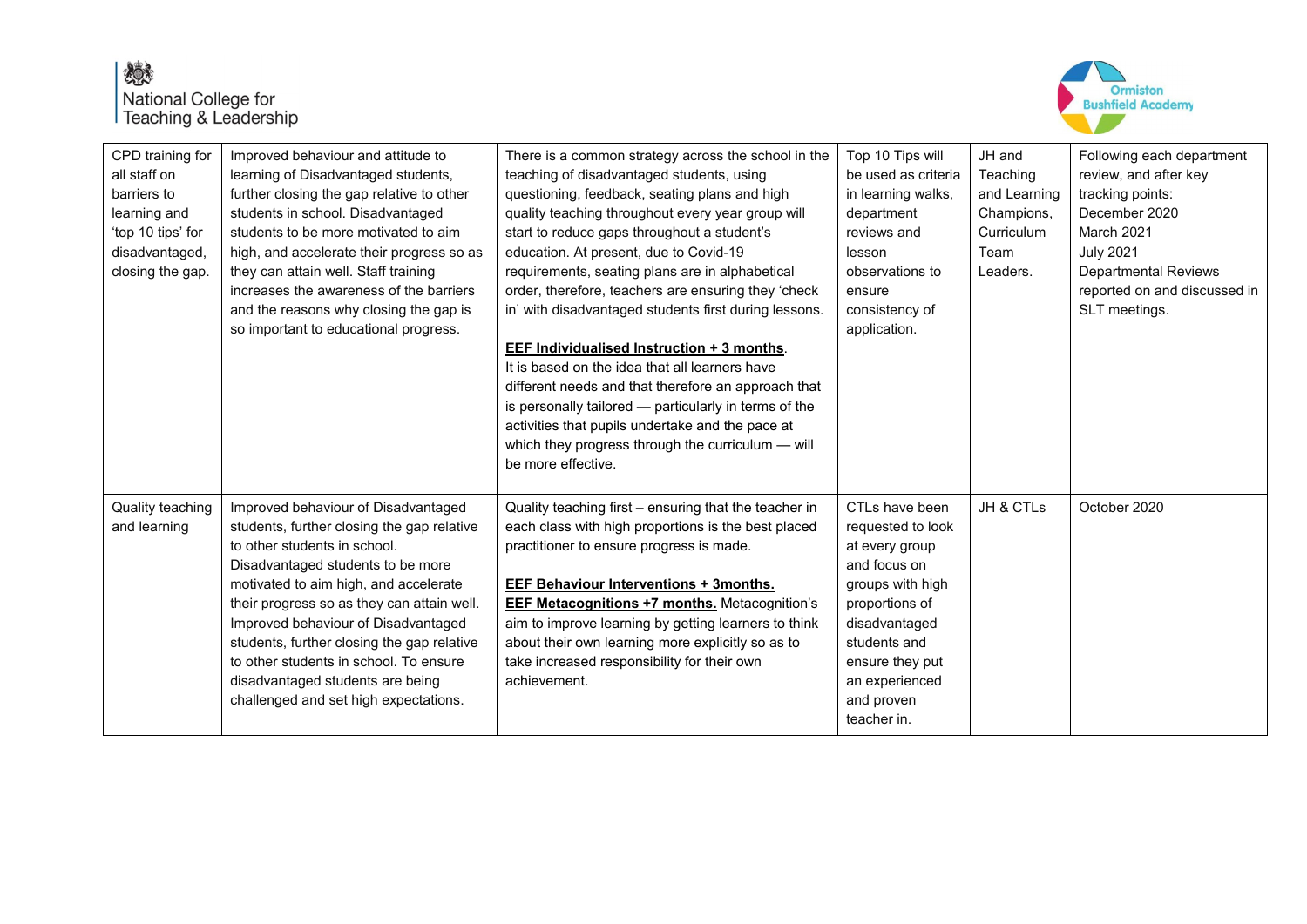

| CPD training for<br>all staff on<br>barriers to<br>learning and<br>'top 10 tips' for<br>disadvantaged,<br>closing the gap. | Improved behaviour and attitude to<br>learning of Disadvantaged students,<br>further closing the gap relative to other<br>students in school. Disadvantaged<br>students to be more motivated to aim<br>high, and accelerate their progress so as<br>they can attain well. Staff training<br>increases the awareness of the barriers<br>and the reasons why closing the gap is<br>so important to educational progress.                                    | There is a common strategy across the school in the<br>teaching of disadvantaged students, using<br>questioning, feedback, seating plans and high<br>quality teaching throughout every year group will<br>start to reduce gaps throughout a student's<br>education. At present, due to Covid-19<br>requirements, seating plans are in alphabetical<br>order, therefore, teachers are ensuring they 'check<br>in' with disadvantaged students first during lessons.<br>EEF Individualised Instruction + 3 months.<br>It is based on the idea that all learners have<br>different needs and that therefore an approach that<br>is personally tailored - particularly in terms of the<br>activities that pupils undertake and the pace at<br>which they progress through the curriculum - will<br>be more effective. | Top 10 Tips will<br>be used as criteria<br>in learning walks,<br>department<br>reviews and<br>lesson<br>observations to<br>ensure<br>consistency of<br>application.                                            | JH and<br>Teaching<br>and Learning<br>Champions,<br><b>Curriculum</b><br>Team<br>Leaders. | Following each department<br>review, and after key<br>tracking points:<br>December 2020<br>March 2021<br><b>July 2021</b><br><b>Departmental Reviews</b><br>reported on and discussed in<br>SLT meetings. |
|----------------------------------------------------------------------------------------------------------------------------|-----------------------------------------------------------------------------------------------------------------------------------------------------------------------------------------------------------------------------------------------------------------------------------------------------------------------------------------------------------------------------------------------------------------------------------------------------------|-------------------------------------------------------------------------------------------------------------------------------------------------------------------------------------------------------------------------------------------------------------------------------------------------------------------------------------------------------------------------------------------------------------------------------------------------------------------------------------------------------------------------------------------------------------------------------------------------------------------------------------------------------------------------------------------------------------------------------------------------------------------------------------------------------------------|----------------------------------------------------------------------------------------------------------------------------------------------------------------------------------------------------------------|-------------------------------------------------------------------------------------------|-----------------------------------------------------------------------------------------------------------------------------------------------------------------------------------------------------------|
| Quality teaching<br>and learning                                                                                           | Improved behaviour of Disadvantaged<br>students, further closing the gap relative<br>to other students in school.<br>Disadvantaged students to be more<br>motivated to aim high, and accelerate<br>their progress so as they can attain well.<br>Improved behaviour of Disadvantaged<br>students, further closing the gap relative<br>to other students in school. To ensure<br>disadvantaged students are being<br>challenged and set high expectations. | Quality teaching first - ensuring that the teacher in<br>each class with high proportions is the best placed<br>practitioner to ensure progress is made.<br>EEF Behaviour Interventions + 3months.<br><b>EEF Metacognitions +7 months.</b> Metacognition's<br>aim to improve learning by getting learners to think<br>about their own learning more explicitly so as to<br>take increased responsibility for their own<br>achievement.                                                                                                                                                                                                                                                                                                                                                                            | CTLs have been<br>requested to look<br>at every group<br>and focus on<br>groups with high<br>proportions of<br>disadvantaged<br>students and<br>ensure they put<br>an experienced<br>and proven<br>teacher in. | JH & CTLs                                                                                 | October 2020                                                                                                                                                                                              |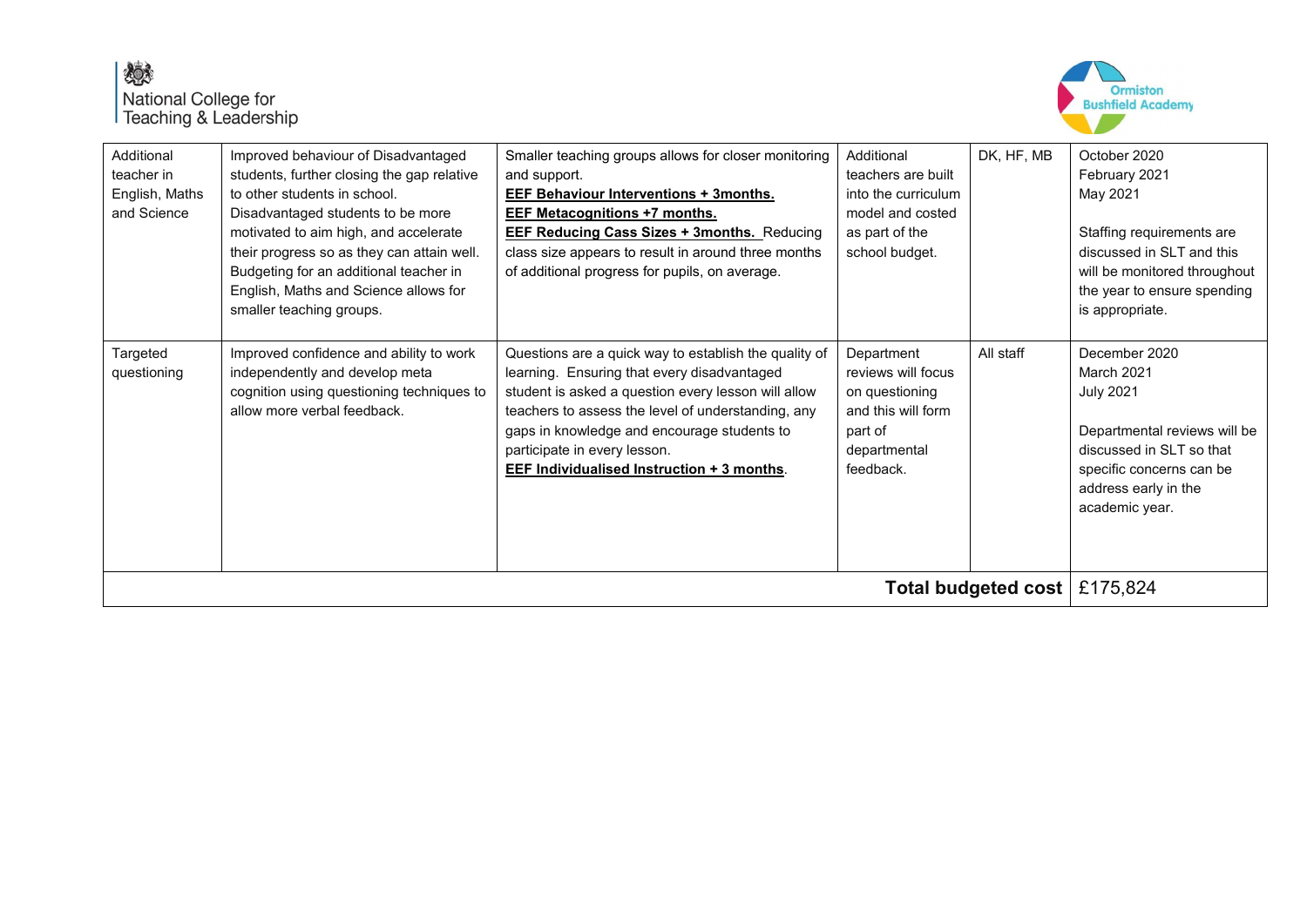

| Additional<br>teacher in<br>English, Maths<br>and Science | Improved behaviour of Disadvantaged<br>students, further closing the gap relative<br>to other students in school.<br>Disadvantaged students to be more<br>motivated to aim high, and accelerate<br>their progress so as they can attain well.<br>Budgeting for an additional teacher in<br>English, Maths and Science allows for<br>smaller teaching groups. | Smaller teaching groups allows for closer monitoring<br>and support.<br><b>EEF Behaviour Interventions + 3months.</b><br><b>EEF Metacognitions +7 months.</b><br><b>EEF Reducing Cass Sizes + 3months. Reducing</b><br>class size appears to result in around three months<br>of additional progress for pupils, on average.                          | Additional<br>teachers are built<br>into the curriculum<br>model and costed<br>as part of the<br>school budget.  | DK, HF, MB | October 2020<br>February 2021<br>May 2021<br>Staffing requirements are<br>discussed in SLT and this<br>will be monitored throughout<br>the year to ensure spending<br>is appropriate. |  |
|-----------------------------------------------------------|--------------------------------------------------------------------------------------------------------------------------------------------------------------------------------------------------------------------------------------------------------------------------------------------------------------------------------------------------------------|-------------------------------------------------------------------------------------------------------------------------------------------------------------------------------------------------------------------------------------------------------------------------------------------------------------------------------------------------------|------------------------------------------------------------------------------------------------------------------|------------|---------------------------------------------------------------------------------------------------------------------------------------------------------------------------------------|--|
| Targeted<br>questioning                                   | Improved confidence and ability to work<br>independently and develop meta<br>cognition using questioning techniques to<br>allow more verbal feedback.                                                                                                                                                                                                        | Questions are a quick way to establish the quality of<br>learning. Ensuring that every disadvantaged<br>student is asked a question every lesson will allow<br>teachers to assess the level of understanding, any<br>gaps in knowledge and encourage students to<br>participate in every lesson.<br><b>EEF Individualised Instruction + 3 months.</b> | Department<br>reviews will focus<br>on questioning<br>and this will form<br>part of<br>departmental<br>feedback. | All staff  | December 2020<br>March 2021<br><b>July 2021</b><br>Departmental reviews will be<br>discussed in SLT so that<br>specific concerns can be<br>address early in the<br>academic year.     |  |
| Total budgeted cost $\mid$ £175,824                       |                                                                                                                                                                                                                                                                                                                                                              |                                                                                                                                                                                                                                                                                                                                                       |                                                                                                                  |            |                                                                                                                                                                                       |  |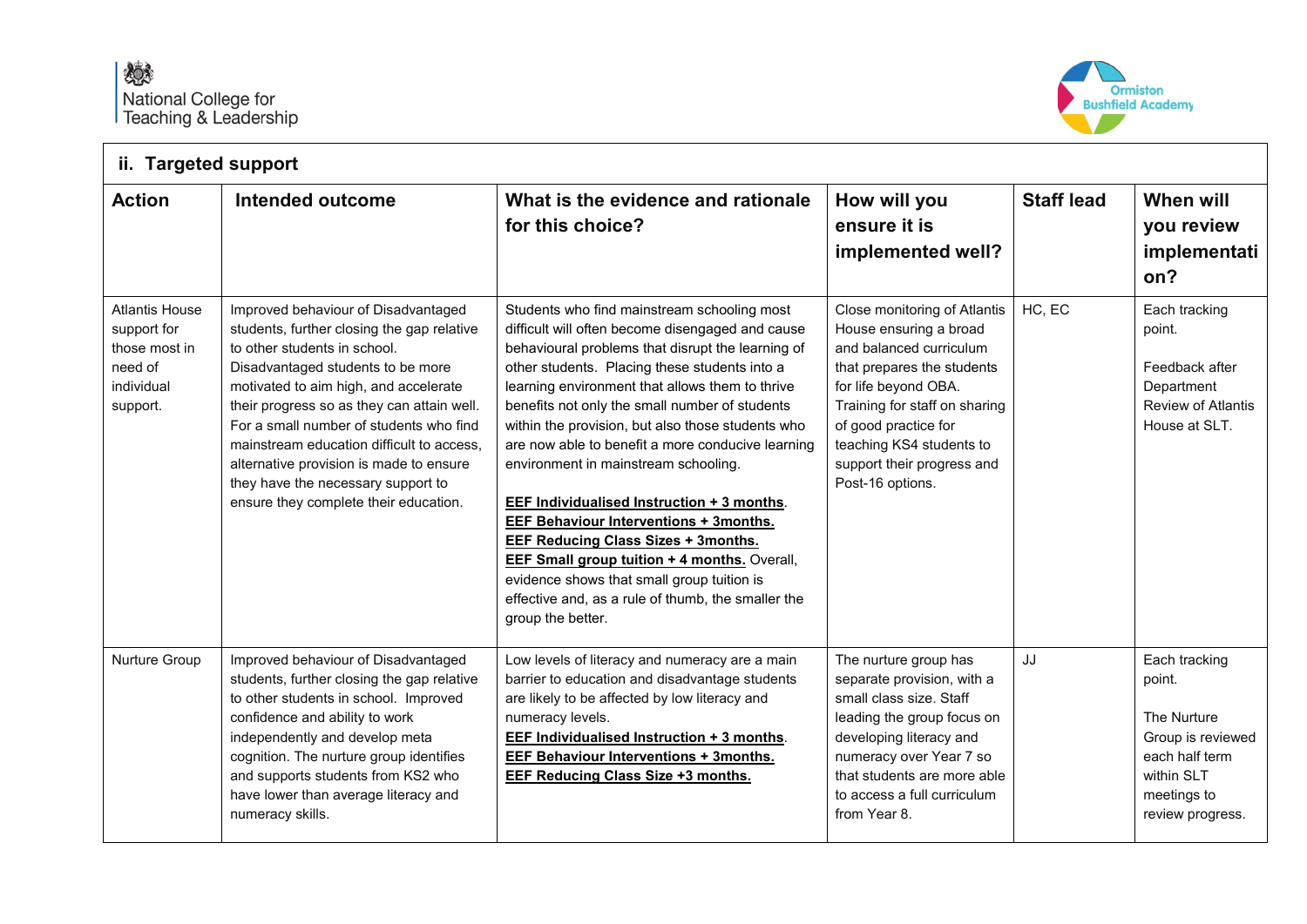- 17



| ii. Targeted support                                                                       |                                                                                                                                                                                                                                                                                                                                                                                                                                                                 |                                                                                                                                                                                                                                                                                                                                                                                                                                                                                                                                                                                                                                                                                                                                                                                           |                                                                                                                                                                                                                                                                                |                   |                                                                                                                                |  |  |  |
|--------------------------------------------------------------------------------------------|-----------------------------------------------------------------------------------------------------------------------------------------------------------------------------------------------------------------------------------------------------------------------------------------------------------------------------------------------------------------------------------------------------------------------------------------------------------------|-------------------------------------------------------------------------------------------------------------------------------------------------------------------------------------------------------------------------------------------------------------------------------------------------------------------------------------------------------------------------------------------------------------------------------------------------------------------------------------------------------------------------------------------------------------------------------------------------------------------------------------------------------------------------------------------------------------------------------------------------------------------------------------------|--------------------------------------------------------------------------------------------------------------------------------------------------------------------------------------------------------------------------------------------------------------------------------|-------------------|--------------------------------------------------------------------------------------------------------------------------------|--|--|--|
| <b>Action</b>                                                                              | Intended outcome                                                                                                                                                                                                                                                                                                                                                                                                                                                | What is the evidence and rationale<br>for this choice?                                                                                                                                                                                                                                                                                                                                                                                                                                                                                                                                                                                                                                                                                                                                    | How will you<br>ensure it is<br>implemented well?                                                                                                                                                                                                                              | <b>Staff lead</b> | When will<br>you review<br>implementati<br>on?                                                                                 |  |  |  |
| <b>Atlantis House</b><br>support for<br>those most in<br>need of<br>individual<br>support. | Improved behaviour of Disadvantaged<br>students, further closing the gap relative<br>to other students in school.<br>Disadvantaged students to be more<br>motivated to aim high, and accelerate<br>their progress so as they can attain well.<br>For a small number of students who find<br>mainstream education difficult to access,<br>alternative provision is made to ensure<br>they have the necessary support to<br>ensure they complete their education. | Students who find mainstream schooling most<br>difficult will often become disengaged and cause<br>behavioural problems that disrupt the learning of<br>other students. Placing these students into a<br>learning environment that allows them to thrive<br>benefits not only the small number of students<br>within the provision, but also those students who<br>are now able to benefit a more conducive learning<br>environment in mainstream schooling.<br>EEF Individualised Instruction + 3 months.<br><b>EEF Behaviour Interventions + 3months.</b><br><b>EEF Reducing Class Sizes + 3months.</b><br><b>EEF Small group tuition + 4 months. Overall,</b><br>evidence shows that small group tuition is<br>effective and, as a rule of thumb, the smaller the<br>group the better. | Close monitoring of Atlantis<br>House ensuring a broad<br>and balanced curriculum<br>that prepares the students<br>for life beyond OBA.<br>Training for staff on sharing<br>of good practice for<br>teaching KS4 students to<br>support their progress and<br>Post-16 options. | HC, EC            | Each tracking<br>point.<br>Feedback after<br>Department<br>Review of Atlantis<br>House at SLT.                                 |  |  |  |
| Nurture Group                                                                              | Improved behaviour of Disadvantaged<br>students, further closing the gap relative<br>to other students in school. Improved<br>confidence and ability to work<br>independently and develop meta<br>cognition. The nurture group identifies<br>and supports students from KS2 who<br>have lower than average literacy and<br>numeracy skills.                                                                                                                     | Low levels of literacy and numeracy are a main<br>barrier to education and disadvantage students<br>are likely to be affected by low literacy and<br>numeracy levels.<br><b>EEF Individualised Instruction + 3 months.</b><br><b>EEF Behaviour Interventions + 3months.</b><br><b>EEF Reducing Class Size +3 months.</b>                                                                                                                                                                                                                                                                                                                                                                                                                                                                  | The nurture group has<br>separate provision, with a<br>small class size. Staff<br>leading the group focus on<br>developing literacy and<br>numeracy over Year 7 so<br>that students are more able<br>to access a full curriculum<br>from Year 8.                               | JJ                | Each tracking<br>point.<br>The Nurture<br>Group is reviewed<br>each half term<br>within SLT<br>meetings to<br>review progress. |  |  |  |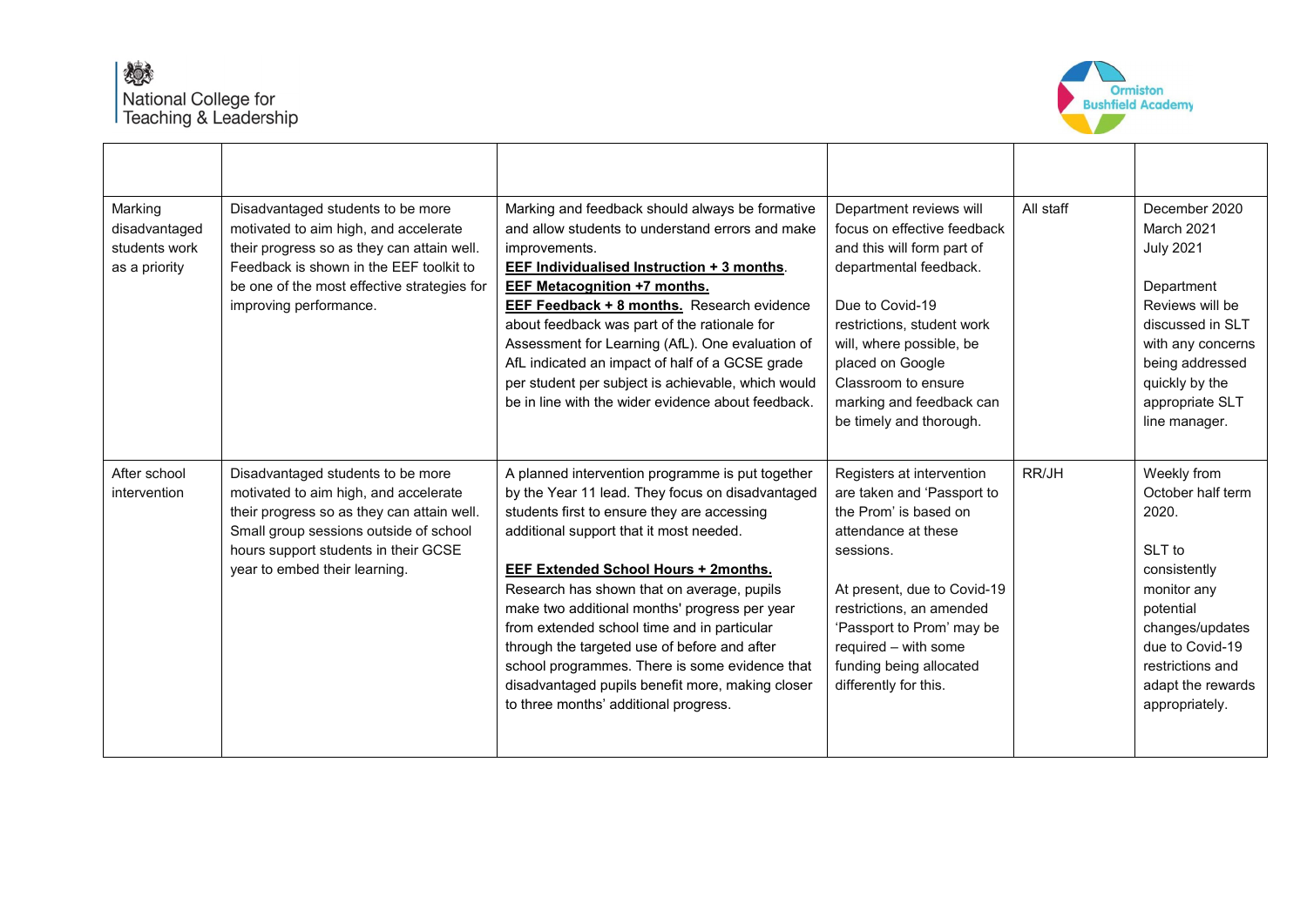

| Marking<br>disadvantaged<br>students work<br>as a priority | Disadvantaged students to be more<br>motivated to aim high, and accelerate<br>their progress so as they can attain well.<br>Feedback is shown in the EEF toolkit to<br>be one of the most effective strategies for<br>improving performance. | Marking and feedback should always be formative<br>and allow students to understand errors and make<br>improvements.<br>EEF Individualised Instruction + 3 months.<br><b>EEF Metacognition +7 months.</b><br><b>EEF Feedback + 8 months.</b> Research evidence<br>about feedback was part of the rationale for<br>Assessment for Learning (AfL). One evaluation of<br>AfL indicated an impact of half of a GCSE grade<br>per student per subject is achievable, which would<br>be in line with the wider evidence about feedback.                                                          | Department reviews will<br>focus on effective feedback<br>and this will form part of<br>departmental feedback.<br>Due to Covid-19<br>restrictions, student work<br>will, where possible, be<br>placed on Google<br>Classroom to ensure<br>marking and feedback can<br>be timely and thorough. | All staff | December 2020<br>March 2021<br><b>July 2021</b><br>Department<br>Reviews will be<br>discussed in SLT<br>with any concerns<br>being addressed<br>quickly by the<br>appropriate SLT<br>line manager. |
|------------------------------------------------------------|----------------------------------------------------------------------------------------------------------------------------------------------------------------------------------------------------------------------------------------------|--------------------------------------------------------------------------------------------------------------------------------------------------------------------------------------------------------------------------------------------------------------------------------------------------------------------------------------------------------------------------------------------------------------------------------------------------------------------------------------------------------------------------------------------------------------------------------------------|-----------------------------------------------------------------------------------------------------------------------------------------------------------------------------------------------------------------------------------------------------------------------------------------------|-----------|----------------------------------------------------------------------------------------------------------------------------------------------------------------------------------------------------|
| After school<br>intervention                               | Disadvantaged students to be more<br>motivated to aim high, and accelerate<br>their progress so as they can attain well.<br>Small group sessions outside of school<br>hours support students in their GCSE<br>year to embed their learning.  | A planned intervention programme is put together<br>by the Year 11 lead. They focus on disadvantaged<br>students first to ensure they are accessing<br>additional support that it most needed.<br><b>EEF Extended School Hours + 2months.</b><br>Research has shown that on average, pupils<br>make two additional months' progress per year<br>from extended school time and in particular<br>through the targeted use of before and after<br>school programmes. There is some evidence that<br>disadvantaged pupils benefit more, making closer<br>to three months' additional progress. | Registers at intervention<br>are taken and 'Passport to<br>the Prom' is based on<br>attendance at these<br>sessions.<br>At present, due to Covid-19<br>restrictions, an amended<br>'Passport to Prom' may be<br>required - with some<br>funding being allocated<br>differently for this.      | RR/JH     | Weekly from<br>October half term<br>2020.<br>SLT to<br>consistently<br>monitor any<br>potential<br>changes/updates<br>due to Covid-19<br>restrictions and<br>adapt the rewards<br>appropriately.   |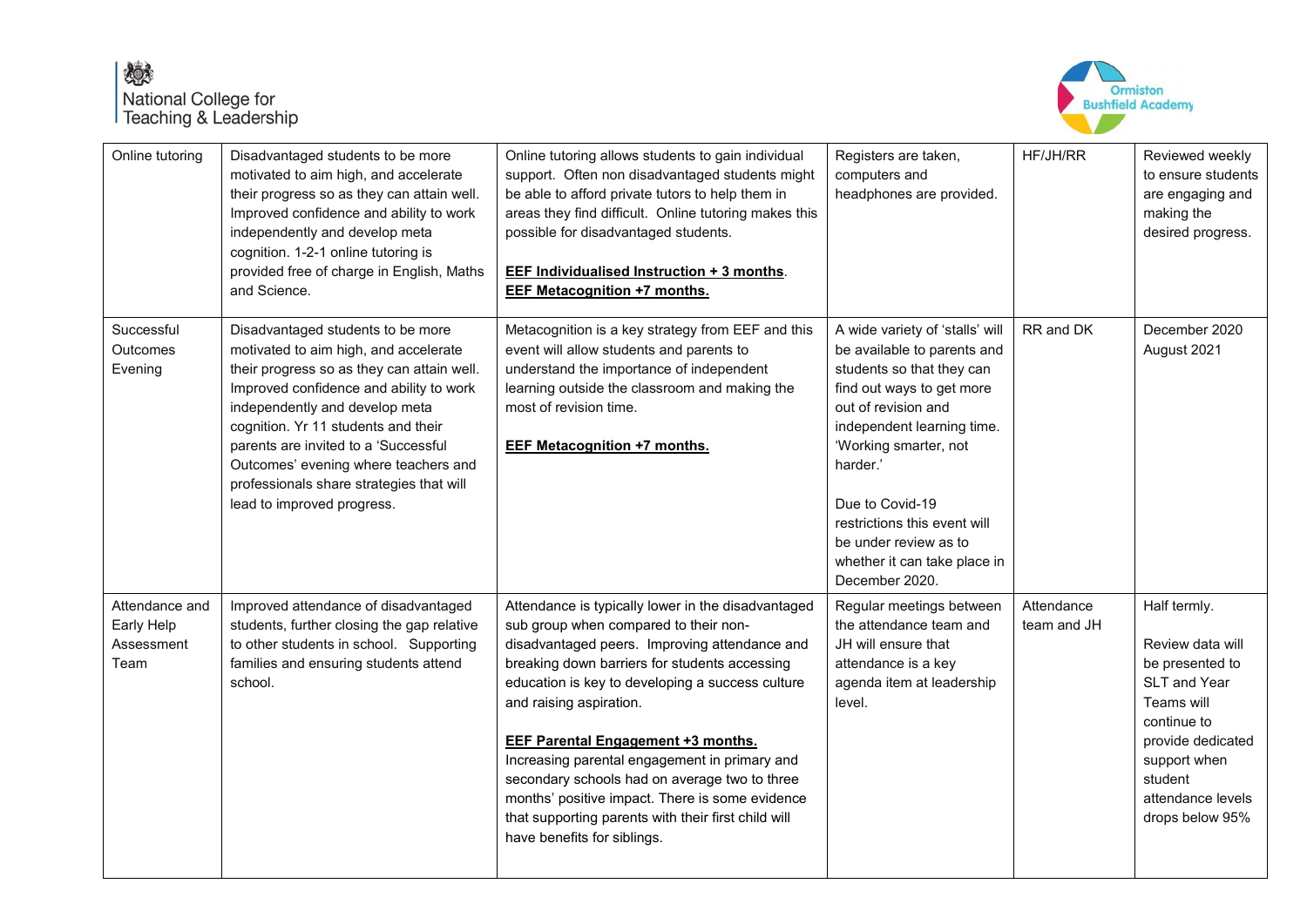

| Online tutoring                                    | Disadvantaged students to be more<br>motivated to aim high, and accelerate<br>their progress so as they can attain well.<br>Improved confidence and ability to work<br>independently and develop meta<br>cognition. 1-2-1 online tutoring is<br>provided free of charge in English, Maths<br>and Science.                                                                                              | Online tutoring allows students to gain individual<br>support. Often non disadvantaged students might<br>be able to afford private tutors to help them in<br>areas they find difficult. Online tutoring makes this<br>possible for disadvantaged students.<br><b>EEF Individualised Instruction + 3 months.</b><br><b>EEF Metacognition +7 months.</b>                                                                                                                                                                                                               | Registers are taken,<br>computers and<br>headphones are provided.                                                                                                                                                                                                                                                                                | HF/JH/RR                  | Reviewed weekly<br>to ensure students<br>are engaging and<br>making the<br>desired progress.                                                                                                    |
|----------------------------------------------------|--------------------------------------------------------------------------------------------------------------------------------------------------------------------------------------------------------------------------------------------------------------------------------------------------------------------------------------------------------------------------------------------------------|----------------------------------------------------------------------------------------------------------------------------------------------------------------------------------------------------------------------------------------------------------------------------------------------------------------------------------------------------------------------------------------------------------------------------------------------------------------------------------------------------------------------------------------------------------------------|--------------------------------------------------------------------------------------------------------------------------------------------------------------------------------------------------------------------------------------------------------------------------------------------------------------------------------------------------|---------------------------|-------------------------------------------------------------------------------------------------------------------------------------------------------------------------------------------------|
| Successful<br>Outcomes<br>Evening                  | Disadvantaged students to be more<br>motivated to aim high, and accelerate<br>their progress so as they can attain well.<br>Improved confidence and ability to work<br>independently and develop meta<br>cognition. Yr 11 students and their<br>parents are invited to a 'Successful<br>Outcomes' evening where teachers and<br>professionals share strategies that will<br>lead to improved progress. | Metacognition is a key strategy from EEF and this<br>event will allow students and parents to<br>understand the importance of independent<br>learning outside the classroom and making the<br>most of revision time.<br><b>EEF Metacognition +7 months.</b>                                                                                                                                                                                                                                                                                                          | A wide variety of 'stalls' will<br>be available to parents and<br>students so that they can<br>find out ways to get more<br>out of revision and<br>independent learning time.<br>'Working smarter, not<br>harder.'<br>Due to Covid-19<br>restrictions this event will<br>be under review as to<br>whether it can take place in<br>December 2020. | RR and DK                 | December 2020<br>August 2021                                                                                                                                                                    |
| Attendance and<br>Early Help<br>Assessment<br>Team | Improved attendance of disadvantaged<br>students, further closing the gap relative<br>to other students in school. Supporting<br>families and ensuring students attend<br>school.                                                                                                                                                                                                                      | Attendance is typically lower in the disadvantaged<br>sub group when compared to their non-<br>disadvantaged peers. Improving attendance and<br>breaking down barriers for students accessing<br>education is key to developing a success culture<br>and raising aspiration.<br><b>EEF Parental Engagement +3 months.</b><br>Increasing parental engagement in primary and<br>secondary schools had on average two to three<br>months' positive impact. There is some evidence<br>that supporting parents with their first child will<br>have benefits for siblings. | Regular meetings between<br>the attendance team and<br>JH will ensure that<br>attendance is a key<br>agenda item at leadership<br>level.                                                                                                                                                                                                         | Attendance<br>team and JH | Half termly.<br>Review data will<br>be presented to<br><b>SLT and Year</b><br>Teams will<br>continue to<br>provide dedicated<br>support when<br>student<br>attendance levels<br>drops below 95% |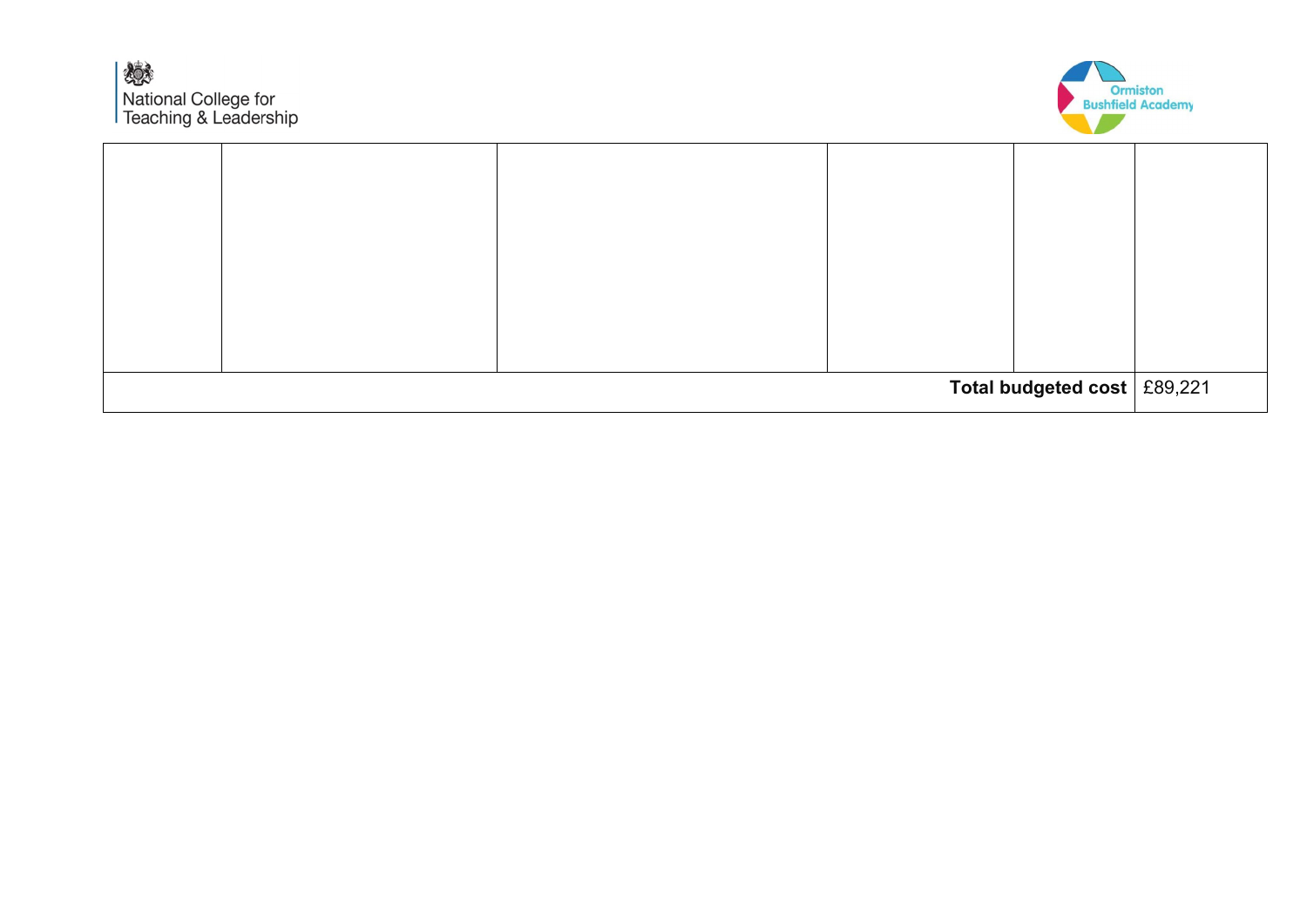嫁 National College for<br>Teaching & Leadership



| Total budgeted cost   £89,221 |  |  |  |  |  |
|-------------------------------|--|--|--|--|--|
|                               |  |  |  |  |  |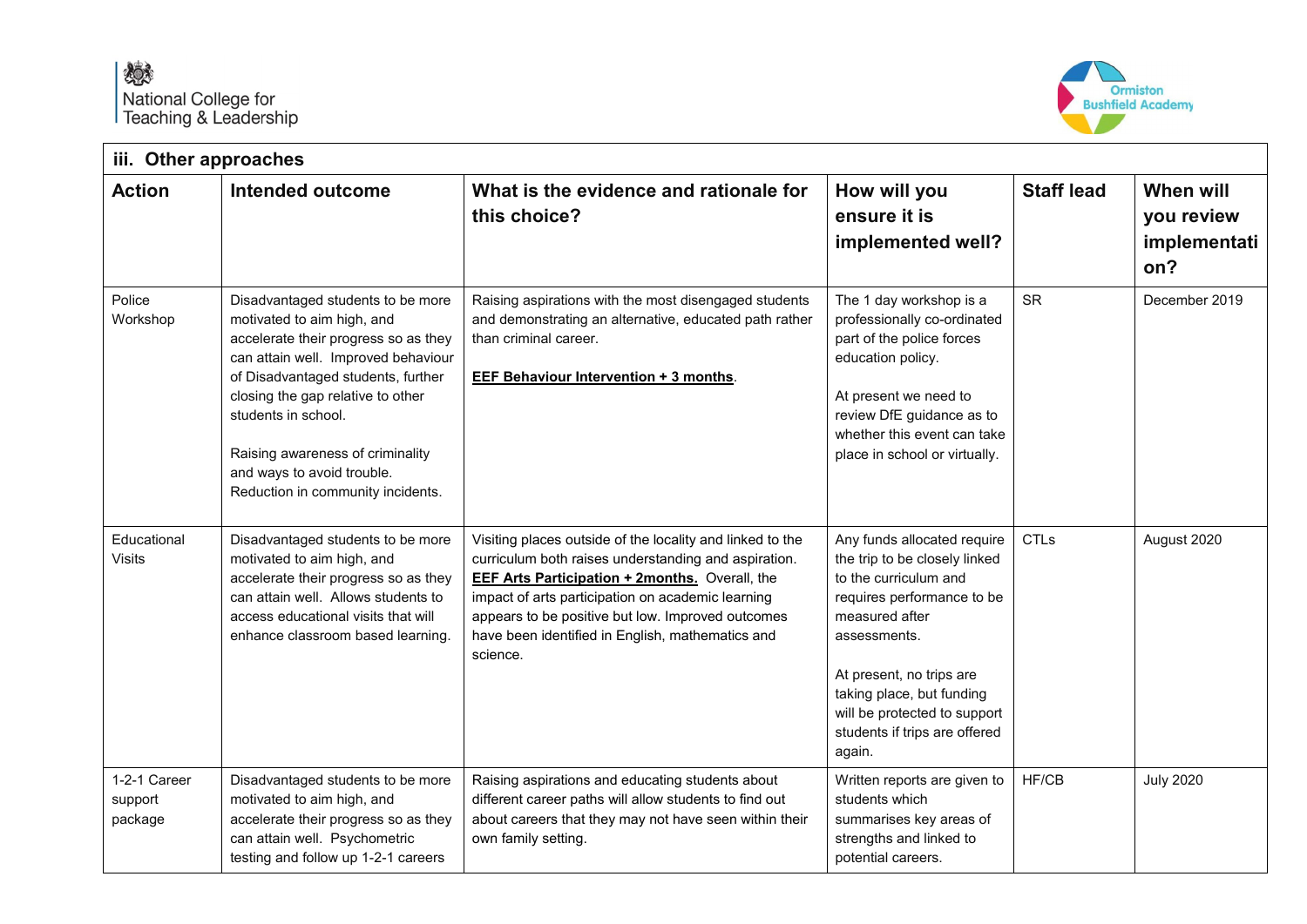

| iii. Other approaches              |                                                                                                                                                                                                                                                                                                                                                         |                                                                                                                                                                                                                                                                                                                                                      |                                                                                                                                                                                                                                                                                           |                   |                                                |  |  |  |  |
|------------------------------------|---------------------------------------------------------------------------------------------------------------------------------------------------------------------------------------------------------------------------------------------------------------------------------------------------------------------------------------------------------|------------------------------------------------------------------------------------------------------------------------------------------------------------------------------------------------------------------------------------------------------------------------------------------------------------------------------------------------------|-------------------------------------------------------------------------------------------------------------------------------------------------------------------------------------------------------------------------------------------------------------------------------------------|-------------------|------------------------------------------------|--|--|--|--|
| <b>Action</b>                      | Intended outcome                                                                                                                                                                                                                                                                                                                                        | What is the evidence and rationale for<br>this choice?                                                                                                                                                                                                                                                                                               | How will you<br>ensure it is<br>implemented well?                                                                                                                                                                                                                                         | <b>Staff lead</b> | When will<br>you review<br>implementati<br>on? |  |  |  |  |
| Police<br>Workshop                 | Disadvantaged students to be more<br>motivated to aim high, and<br>accelerate their progress so as they<br>can attain well. Improved behaviour<br>of Disadvantaged students, further<br>closing the gap relative to other<br>students in school.<br>Raising awareness of criminality<br>and ways to avoid trouble.<br>Reduction in community incidents. | Raising aspirations with the most disengaged students<br>and demonstrating an alternative, educated path rather<br>than criminal career.<br><b>EEF Behaviour Intervention + 3 months.</b>                                                                                                                                                            | The 1 day workshop is a<br>professionally co-ordinated<br>part of the police forces<br>education policy.<br>At present we need to<br>review DfE guidance as to<br>whether this event can take<br>place in school or virtually.                                                            | <b>SR</b>         | December 2019                                  |  |  |  |  |
| Educational<br><b>Visits</b>       | Disadvantaged students to be more<br>motivated to aim high, and<br>accelerate their progress so as they<br>can attain well. Allows students to<br>access educational visits that will<br>enhance classroom based learning.                                                                                                                              | Visiting places outside of the locality and linked to the<br>curriculum both raises understanding and aspiration.<br><b>EEF Arts Participation + 2months.</b> Overall, the<br>impact of arts participation on academic learning<br>appears to be positive but low. Improved outcomes<br>have been identified in English, mathematics and<br>science. | Any funds allocated require<br>the trip to be closely linked<br>to the curriculum and<br>requires performance to be<br>measured after<br>assessments.<br>At present, no trips are<br>taking place, but funding<br>will be protected to support<br>students if trips are offered<br>again. | <b>CTLs</b>       | August 2020                                    |  |  |  |  |
| 1-2-1 Career<br>support<br>package | Disadvantaged students to be more<br>motivated to aim high, and<br>accelerate their progress so as they<br>can attain well. Psychometric<br>testing and follow up 1-2-1 careers                                                                                                                                                                         | Raising aspirations and educating students about<br>different career paths will allow students to find out<br>about careers that they may not have seen within their<br>own family setting.                                                                                                                                                          | Written reports are given to<br>students which<br>summarises key areas of<br>strengths and linked to<br>potential careers.                                                                                                                                                                | HF/CB             | <b>July 2020</b>                               |  |  |  |  |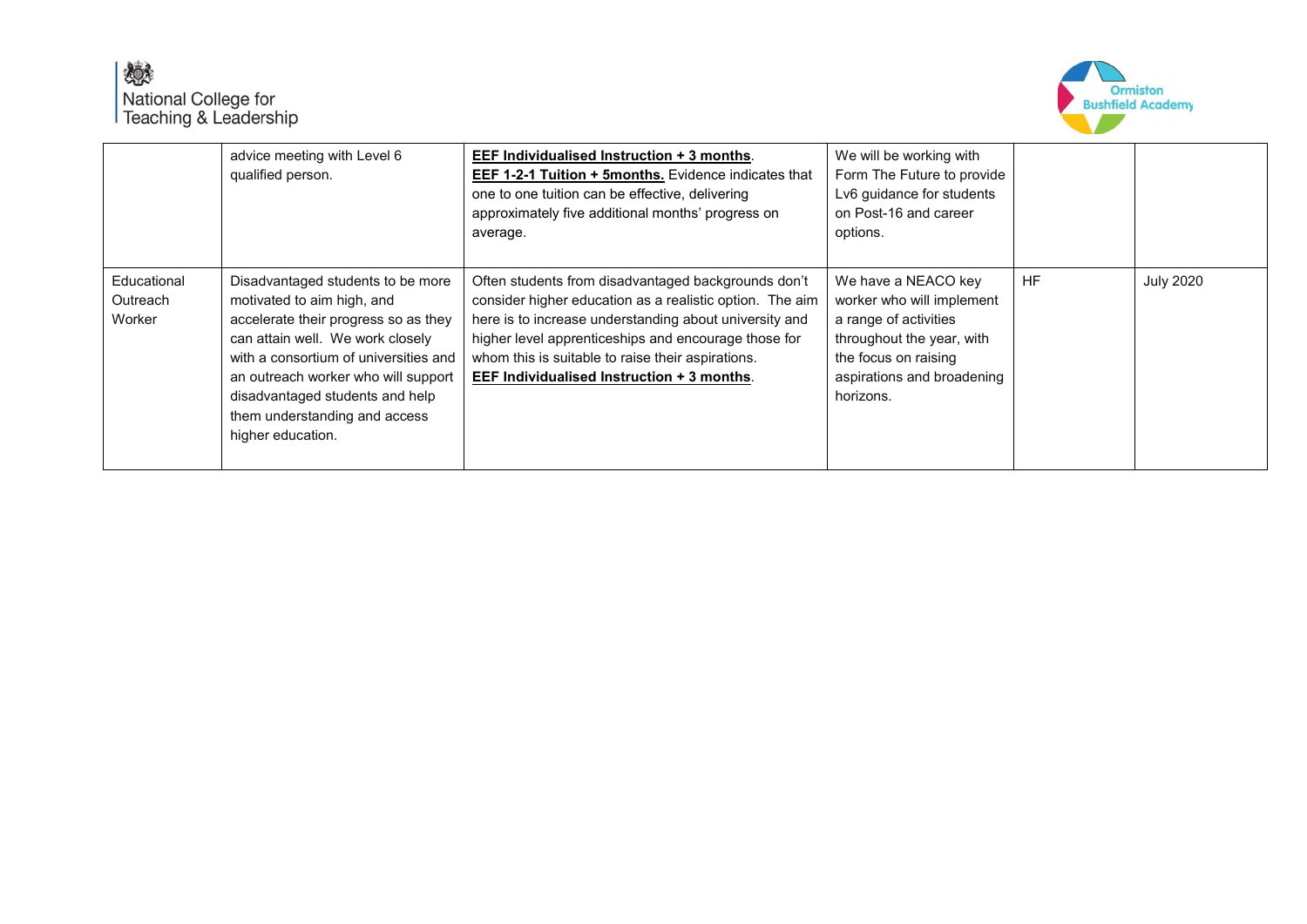

|                                   | advice meeting with Level 6<br>qualified person.                                                                                                                                                                                                                                                                     | EEF Individualised Instruction + 3 months.<br><b>EEF 1-2-1 Tuition + 5months.</b> Evidence indicates that<br>one to one tuition can be effective, delivering<br>approximately five additional months' progress on<br>average.                                                                                                        | We will be working with<br>Form The Future to provide<br>Lv6 guidance for students<br>on Post-16 and career<br>options.                                                   |           |                  |
|-----------------------------------|----------------------------------------------------------------------------------------------------------------------------------------------------------------------------------------------------------------------------------------------------------------------------------------------------------------------|--------------------------------------------------------------------------------------------------------------------------------------------------------------------------------------------------------------------------------------------------------------------------------------------------------------------------------------|---------------------------------------------------------------------------------------------------------------------------------------------------------------------------|-----------|------------------|
| Educational<br>Outreach<br>Worker | Disadvantaged students to be more<br>motivated to aim high, and<br>accelerate their progress so as they<br>can attain well. We work closely<br>with a consortium of universities and<br>an outreach worker who will support<br>disadvantaged students and help<br>them understanding and access<br>higher education. | Often students from disadvantaged backgrounds don't<br>consider higher education as a realistic option. The aim<br>here is to increase understanding about university and<br>higher level apprenticeships and encourage those for<br>whom this is suitable to raise their aspirations.<br>EEF Individualised Instruction + 3 months. | We have a NEACO key<br>worker who will implement<br>a range of activities<br>throughout the year, with<br>the focus on raising<br>aspirations and broadening<br>horizons. | <b>HF</b> | <b>July 2020</b> |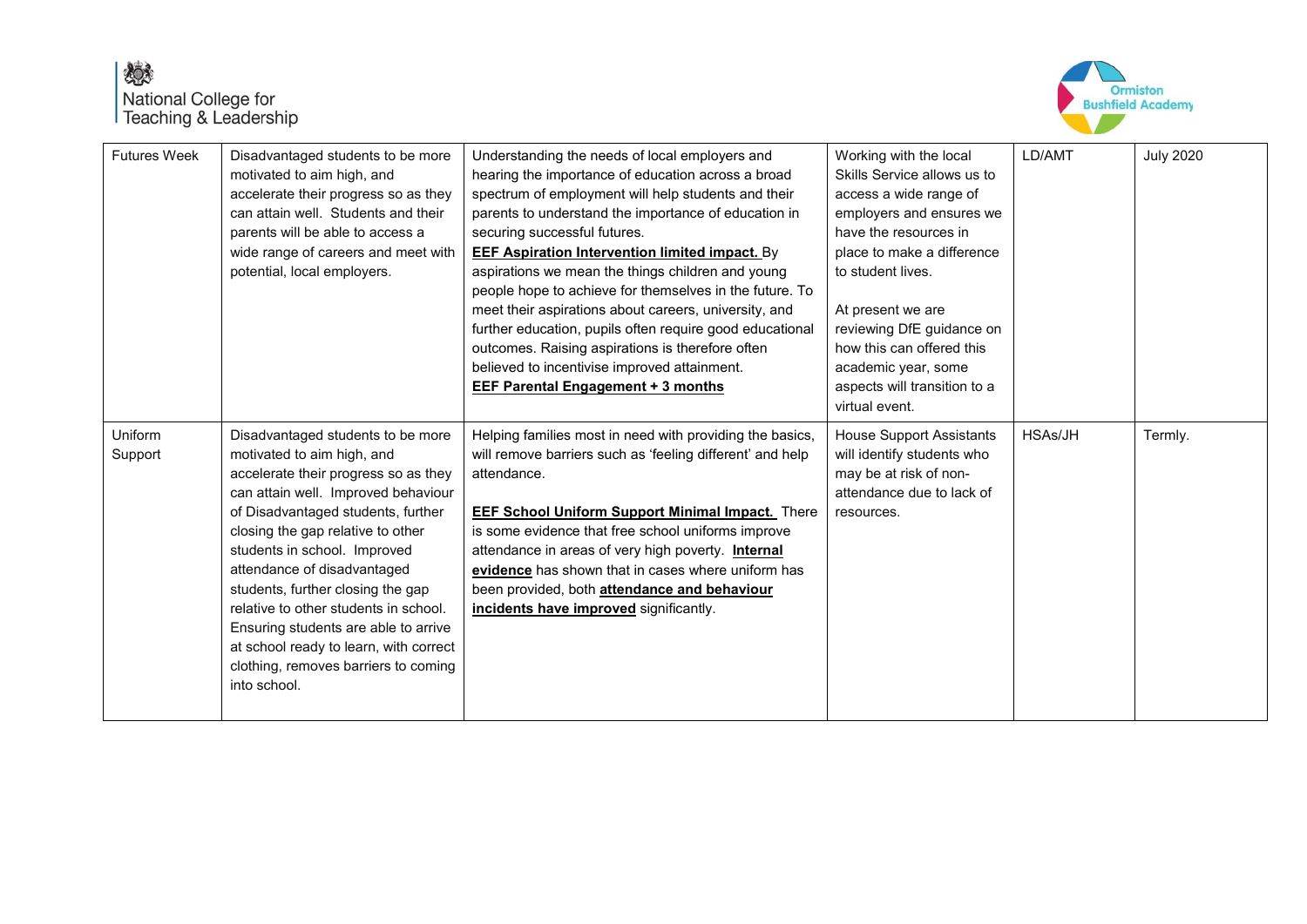## 嫁 National College for<br>Teaching & Leadership



| <b>Futures Week</b> | Disadvantaged students to be more<br>motivated to aim high, and<br>accelerate their progress so as they<br>can attain well. Students and their<br>parents will be able to access a<br>wide range of careers and meet with<br>potential, local employers.                                                                                                                                                                                                                                                         | Understanding the needs of local employers and<br>hearing the importance of education across a broad<br>spectrum of employment will help students and their<br>parents to understand the importance of education in<br>securing successful futures.<br><b>EEF Aspiration Intervention limited impact.</b> By<br>aspirations we mean the things children and young<br>people hope to achieve for themselves in the future. To<br>meet their aspirations about careers, university, and<br>further education, pupils often require good educational<br>outcomes. Raising aspirations is therefore often<br>believed to incentivise improved attainment.<br><b>EEF Parental Engagement + 3 months</b> | Working with the local<br>Skills Service allows us to<br>access a wide range of<br>employers and ensures we<br>have the resources in<br>place to make a difference<br>to student lives.<br>At present we are<br>reviewing DfE guidance on<br>how this can offered this<br>academic year, some<br>aspects will transition to a<br>virtual event. | LD/AMT  | <b>July 2020</b> |
|---------------------|------------------------------------------------------------------------------------------------------------------------------------------------------------------------------------------------------------------------------------------------------------------------------------------------------------------------------------------------------------------------------------------------------------------------------------------------------------------------------------------------------------------|----------------------------------------------------------------------------------------------------------------------------------------------------------------------------------------------------------------------------------------------------------------------------------------------------------------------------------------------------------------------------------------------------------------------------------------------------------------------------------------------------------------------------------------------------------------------------------------------------------------------------------------------------------------------------------------------------|-------------------------------------------------------------------------------------------------------------------------------------------------------------------------------------------------------------------------------------------------------------------------------------------------------------------------------------------------|---------|------------------|
| Uniform<br>Support  | Disadvantaged students to be more<br>motivated to aim high, and<br>accelerate their progress so as they<br>can attain well. Improved behaviour<br>of Disadvantaged students, further<br>closing the gap relative to other<br>students in school. Improved<br>attendance of disadvantaged<br>students, further closing the gap<br>relative to other students in school.<br>Ensuring students are able to arrive<br>at school ready to learn, with correct<br>clothing, removes barriers to coming<br>into school. | Helping families most in need with providing the basics,<br>will remove barriers such as 'feeling different' and help<br>attendance.<br><b>EEF School Uniform Support Minimal Impact.</b> There<br>is some evidence that free school uniforms improve<br>attendance in areas of very high poverty. Internal<br>evidence has shown that in cases where uniform has<br>been provided, both attendance and behaviour<br>incidents have improved significantly.                                                                                                                                                                                                                                        | <b>House Support Assistants</b><br>will identify students who<br>may be at risk of non-<br>attendance due to lack of<br>resources.                                                                                                                                                                                                              | HSAs/JH | Termly.          |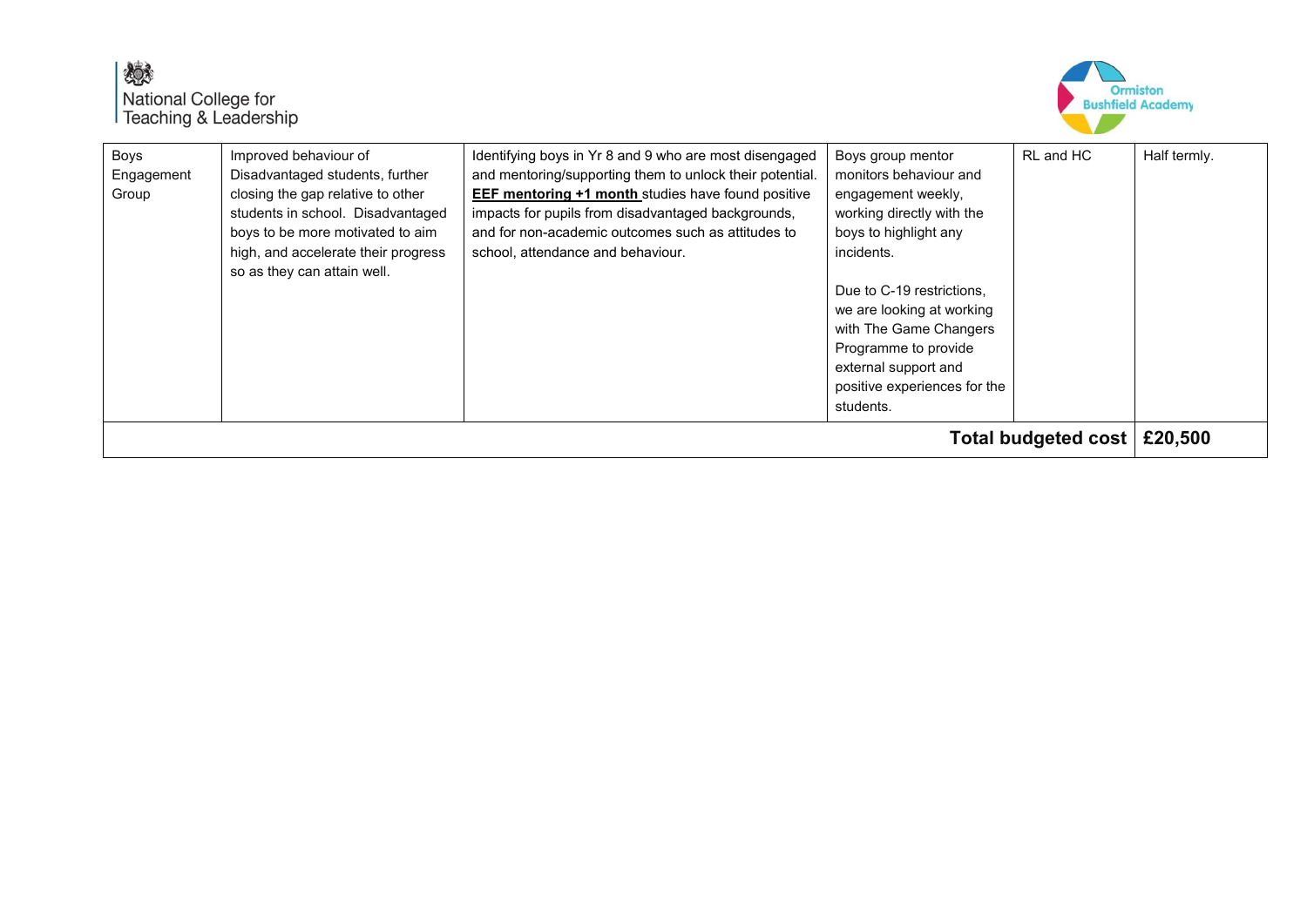



| Boys<br>Engagement<br>Group | Improved behaviour of<br>Disadvantaged students, further<br>closing the gap relative to other<br>students in school. Disadvantaged<br>boys to be more motivated to aim<br>high, and accelerate their progress<br>so as they can attain well. | Identifying boys in Yr 8 and 9 who are most disengaged<br>and mentoring/supporting them to unlock their potential.<br><b>EEF mentoring +1 month studies have found positive</b><br>impacts for pupils from disadvantaged backgrounds,<br>and for non-academic outcomes such as attitudes to<br>school, attendance and behaviour. | Boys group mentor<br>monitors behaviour and<br>engagement weekly,<br>working directly with the<br>boys to highlight any<br>incidents.<br>Due to C-19 restrictions.<br>we are looking at working<br>with The Game Changers<br>Programme to provide<br>external support and<br>positive experiences for the<br>students. | RL and HC | Half termly. |
|-----------------------------|----------------------------------------------------------------------------------------------------------------------------------------------------------------------------------------------------------------------------------------------|----------------------------------------------------------------------------------------------------------------------------------------------------------------------------------------------------------------------------------------------------------------------------------------------------------------------------------|------------------------------------------------------------------------------------------------------------------------------------------------------------------------------------------------------------------------------------------------------------------------------------------------------------------------|-----------|--------------|
| Total budgeted cost         |                                                                                                                                                                                                                                              |                                                                                                                                                                                                                                                                                                                                  |                                                                                                                                                                                                                                                                                                                        |           | £20,500      |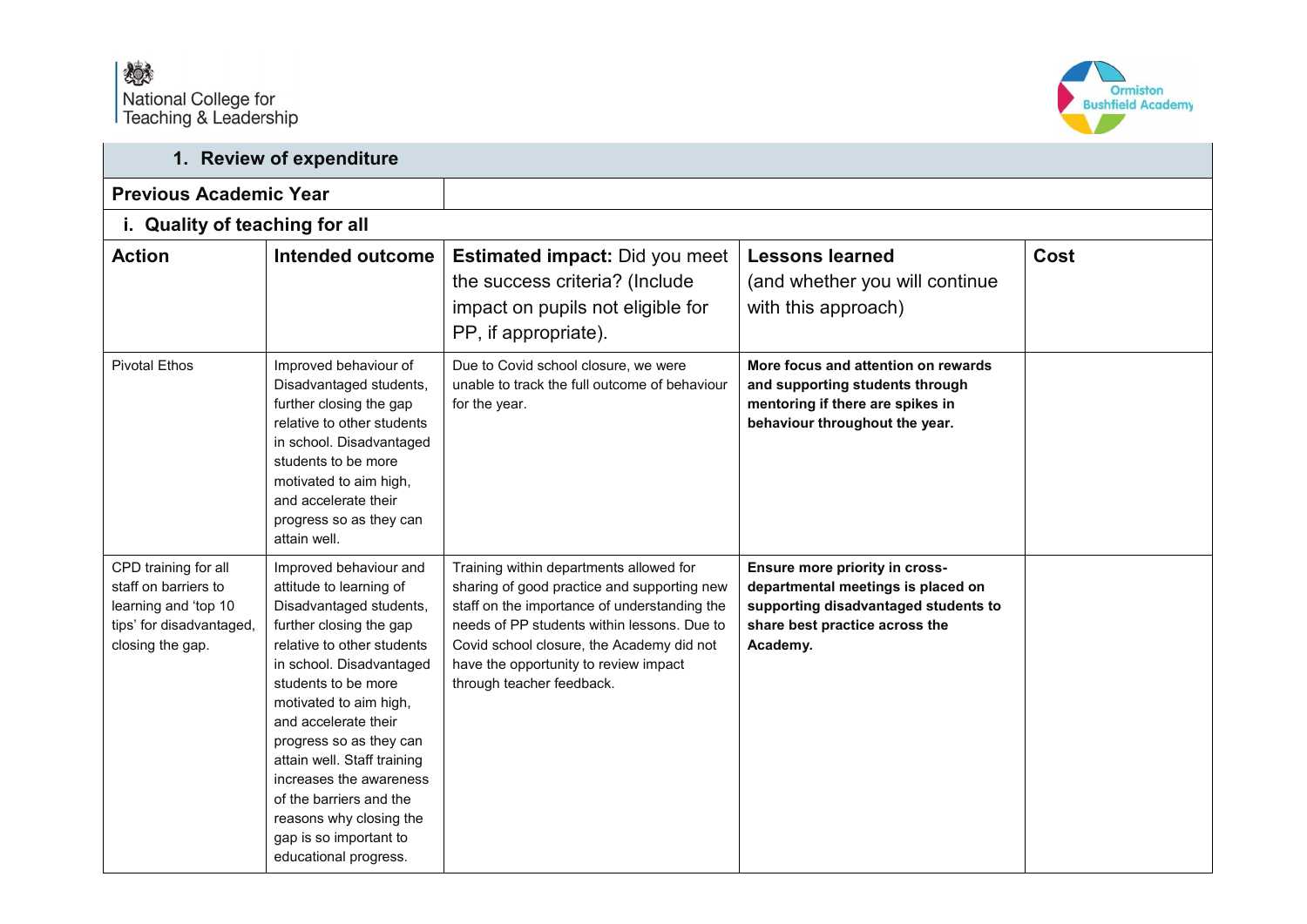

|                                                                                                                      | 1. Review of expenditure                                                                                                                                                                                                                                                                                                                                                                                                                 |                                                                                                                                                                                                                                                                                                          |                                                                                                                                                            |      |  |  |
|----------------------------------------------------------------------------------------------------------------------|------------------------------------------------------------------------------------------------------------------------------------------------------------------------------------------------------------------------------------------------------------------------------------------------------------------------------------------------------------------------------------------------------------------------------------------|----------------------------------------------------------------------------------------------------------------------------------------------------------------------------------------------------------------------------------------------------------------------------------------------------------|------------------------------------------------------------------------------------------------------------------------------------------------------------|------|--|--|
| <b>Previous Academic Year</b>                                                                                        |                                                                                                                                                                                                                                                                                                                                                                                                                                          |                                                                                                                                                                                                                                                                                                          |                                                                                                                                                            |      |  |  |
| i. Quality of teaching for all                                                                                       |                                                                                                                                                                                                                                                                                                                                                                                                                                          |                                                                                                                                                                                                                                                                                                          |                                                                                                                                                            |      |  |  |
| <b>Action</b>                                                                                                        | <b>Intended outcome</b>                                                                                                                                                                                                                                                                                                                                                                                                                  | <b>Estimated impact: Did you meet</b><br>the success criteria? (Include<br>impact on pupils not eligible for<br>PP, if appropriate).                                                                                                                                                                     | <b>Lessons learned</b><br>(and whether you will continue<br>with this approach)                                                                            | Cost |  |  |
| <b>Pivotal Ethos</b>                                                                                                 | Improved behaviour of<br>Disadvantaged students,<br>further closing the gap<br>relative to other students<br>in school. Disadvantaged<br>students to be more<br>motivated to aim high,<br>and accelerate their<br>progress so as they can<br>attain well.                                                                                                                                                                                | Due to Covid school closure, we were<br>unable to track the full outcome of behaviour<br>for the year.                                                                                                                                                                                                   | More focus and attention on rewards<br>and supporting students through<br>mentoring if there are spikes in<br>behaviour throughout the year.               |      |  |  |
| CPD training for all<br>staff on barriers to<br>learning and 'top 10<br>tips' for disadvantaged,<br>closing the gap. | Improved behaviour and<br>attitude to learning of<br>Disadvantaged students,<br>further closing the gap<br>relative to other students<br>in school. Disadvantaged<br>students to be more<br>motivated to aim high,<br>and accelerate their<br>progress so as they can<br>attain well. Staff training<br>increases the awareness<br>of the barriers and the<br>reasons why closing the<br>gap is so important to<br>educational progress. | Training within departments allowed for<br>sharing of good practice and supporting new<br>staff on the importance of understanding the<br>needs of PP students within lessons. Due to<br>Covid school closure, the Academy did not<br>have the opportunity to review impact<br>through teacher feedback. | Ensure more priority in cross-<br>departmental meetings is placed on<br>supporting disadvantaged students to<br>share best practice across the<br>Academy. |      |  |  |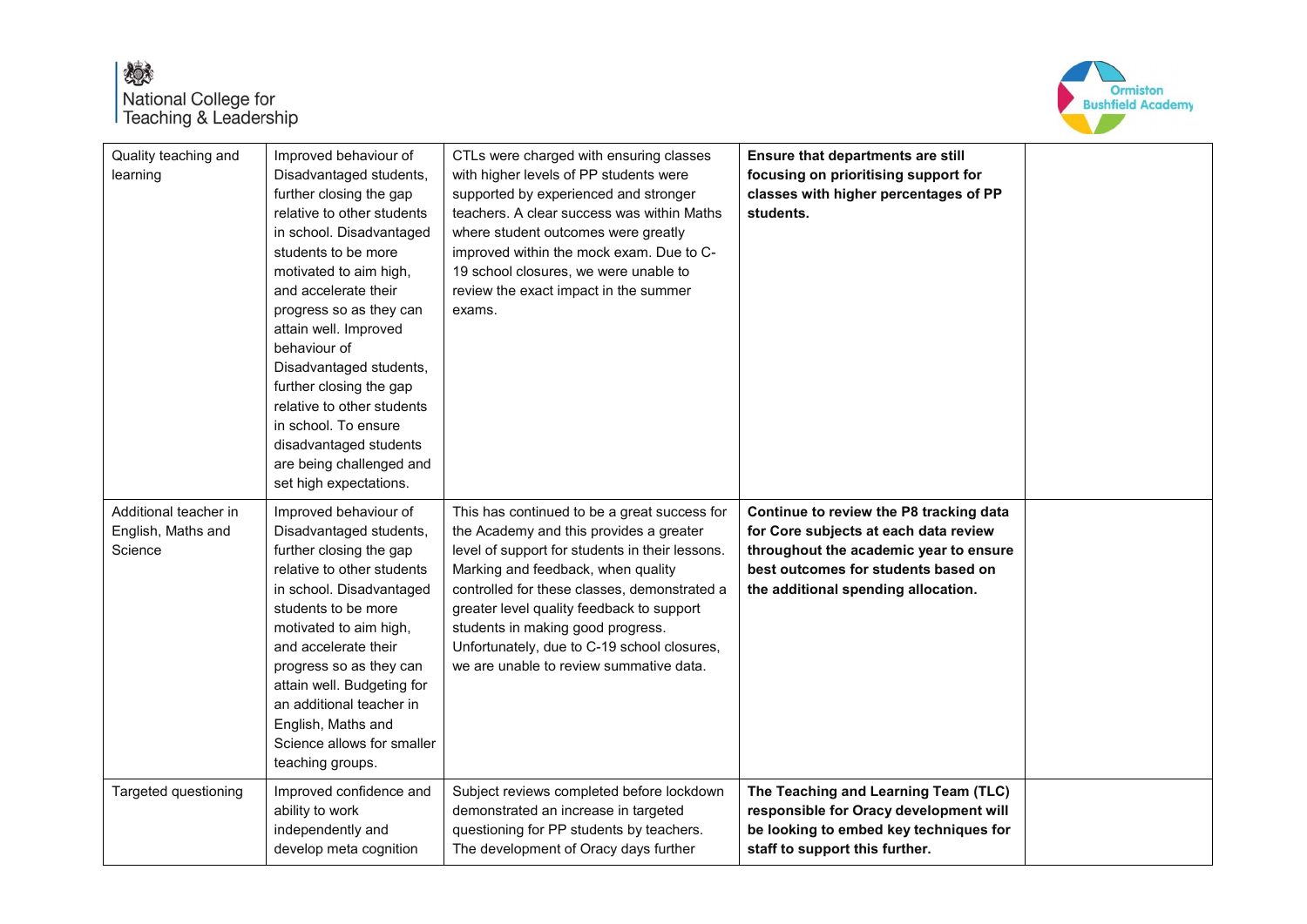## 燃 National College for<br>Teaching & Leadership



| Quality teaching and<br>learning                       | Improved behaviour of<br>Disadvantaged students,<br>further closing the gap<br>relative to other students<br>in school. Disadvantaged<br>students to be more<br>motivated to aim high,<br>and accelerate their<br>progress so as they can<br>attain well. Improved<br>behaviour of<br>Disadvantaged students,<br>further closing the gap<br>relative to other students<br>in school. To ensure<br>disadvantaged students<br>are being challenged and<br>set high expectations. | CTLs were charged with ensuring classes<br>with higher levels of PP students were<br>supported by experienced and stronger<br>teachers. A clear success was within Maths<br>where student outcomes were greatly<br>improved within the mock exam. Due to C-<br>19 school closures, we were unable to<br>review the exact impact in the summer<br>exams.                                                      | Ensure that departments are still<br>focusing on prioritising support for<br>classes with higher percentages of PP<br>students.                                                                          |  |
|--------------------------------------------------------|--------------------------------------------------------------------------------------------------------------------------------------------------------------------------------------------------------------------------------------------------------------------------------------------------------------------------------------------------------------------------------------------------------------------------------------------------------------------------------|--------------------------------------------------------------------------------------------------------------------------------------------------------------------------------------------------------------------------------------------------------------------------------------------------------------------------------------------------------------------------------------------------------------|----------------------------------------------------------------------------------------------------------------------------------------------------------------------------------------------------------|--|
| Additional teacher in<br>English, Maths and<br>Science | Improved behaviour of<br>Disadvantaged students,<br>further closing the gap<br>relative to other students<br>in school. Disadvantaged<br>students to be more<br>motivated to aim high,<br>and accelerate their<br>progress so as they can<br>attain well. Budgeting for<br>an additional teacher in<br>English, Maths and<br>Science allows for smaller<br>teaching groups.                                                                                                    | This has continued to be a great success for<br>the Academy and this provides a greater<br>level of support for students in their lessons.<br>Marking and feedback, when quality<br>controlled for these classes, demonstrated a<br>greater level quality feedback to support<br>students in making good progress.<br>Unfortunately, due to C-19 school closures,<br>we are unable to review summative data. | Continue to review the P8 tracking data<br>for Core subjects at each data review<br>throughout the academic year to ensure<br>best outcomes for students based on<br>the additional spending allocation. |  |
| Targeted questioning                                   | Improved confidence and<br>ability to work<br>independently and<br>develop meta cognition                                                                                                                                                                                                                                                                                                                                                                                      | Subject reviews completed before lockdown<br>demonstrated an increase in targeted<br>questioning for PP students by teachers.<br>The development of Oracy days further                                                                                                                                                                                                                                       | The Teaching and Learning Team (TLC)<br>responsible for Oracy development will<br>be looking to embed key techniques for<br>staff to support this further.                                               |  |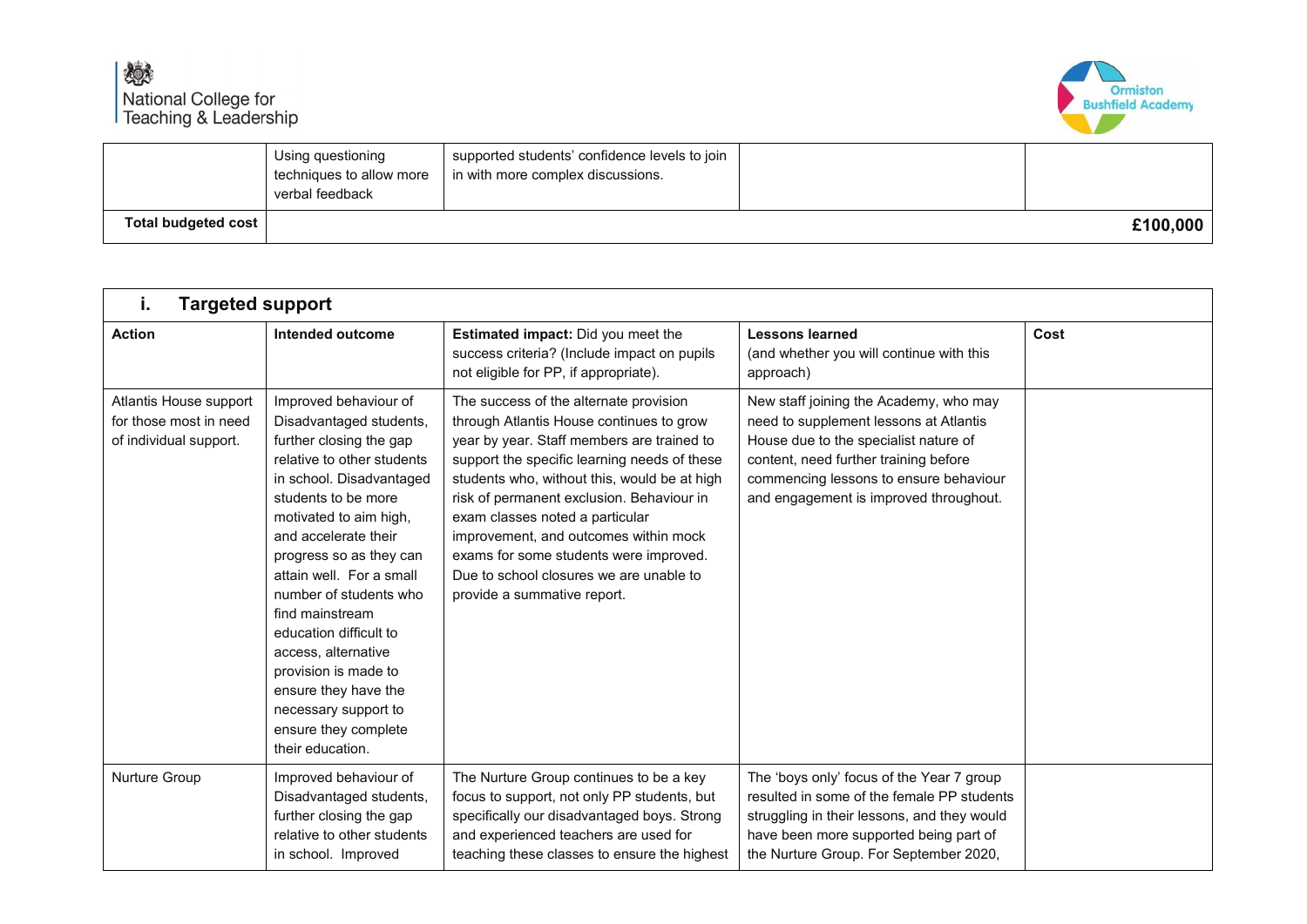

|                     | Using questioning<br>techniques to allow more<br>verbal feedback | supported students' confidence levels to join  <br>in with more complex discussions. |          |
|---------------------|------------------------------------------------------------------|--------------------------------------------------------------------------------------|----------|
| Total budgeted cost |                                                                  |                                                                                      | £100,000 |

| i.                                                                         | <b>Targeted support</b>                                                                                                                                                                                                                                                                                                                                                                                                                                                                 |                                                                                                                                                                                                                                                                                                                                                                                                                                                                               |                                                                                                                                                                                                                                                        |      |  |
|----------------------------------------------------------------------------|-----------------------------------------------------------------------------------------------------------------------------------------------------------------------------------------------------------------------------------------------------------------------------------------------------------------------------------------------------------------------------------------------------------------------------------------------------------------------------------------|-------------------------------------------------------------------------------------------------------------------------------------------------------------------------------------------------------------------------------------------------------------------------------------------------------------------------------------------------------------------------------------------------------------------------------------------------------------------------------|--------------------------------------------------------------------------------------------------------------------------------------------------------------------------------------------------------------------------------------------------------|------|--|
| <b>Action</b>                                                              | Intended outcome                                                                                                                                                                                                                                                                                                                                                                                                                                                                        | Estimated impact: Did you meet the<br>success criteria? (Include impact on pupils<br>not eligible for PP, if appropriate).                                                                                                                                                                                                                                                                                                                                                    | <b>Lessons learned</b><br>(and whether you will continue with this<br>approach)                                                                                                                                                                        | Cost |  |
| Atlantis House support<br>for those most in need<br>of individual support. | Improved behaviour of<br>Disadvantaged students,<br>further closing the gap<br>relative to other students<br>in school. Disadvantaged<br>students to be more<br>motivated to aim high,<br>and accelerate their<br>progress so as they can<br>attain well. For a small<br>number of students who<br>find mainstream<br>education difficult to<br>access, alternative<br>provision is made to<br>ensure they have the<br>necessary support to<br>ensure they complete<br>their education. | The success of the alternate provision<br>through Atlantis House continues to grow<br>year by year. Staff members are trained to<br>support the specific learning needs of these<br>students who, without this, would be at high<br>risk of permanent exclusion. Behaviour in<br>exam classes noted a particular<br>improvement, and outcomes within mock<br>exams for some students were improved.<br>Due to school closures we are unable to<br>provide a summative report. | New staff joining the Academy, who may<br>need to supplement lessons at Atlantis<br>House due to the specialist nature of<br>content, need further training before<br>commencing lessons to ensure behaviour<br>and engagement is improved throughout. |      |  |
| Nurture Group                                                              | Improved behaviour of<br>Disadvantaged students,<br>further closing the gap<br>relative to other students<br>in school. Improved                                                                                                                                                                                                                                                                                                                                                        | The Nurture Group continues to be a key<br>focus to support, not only PP students, but<br>specifically our disadvantaged boys. Strong<br>and experienced teachers are used for<br>teaching these classes to ensure the highest                                                                                                                                                                                                                                                | The 'boys only' focus of the Year 7 group<br>resulted in some of the female PP students<br>struggling in their lessons, and they would<br>have been more supported being part of<br>the Nurture Group. For September 2020,                             |      |  |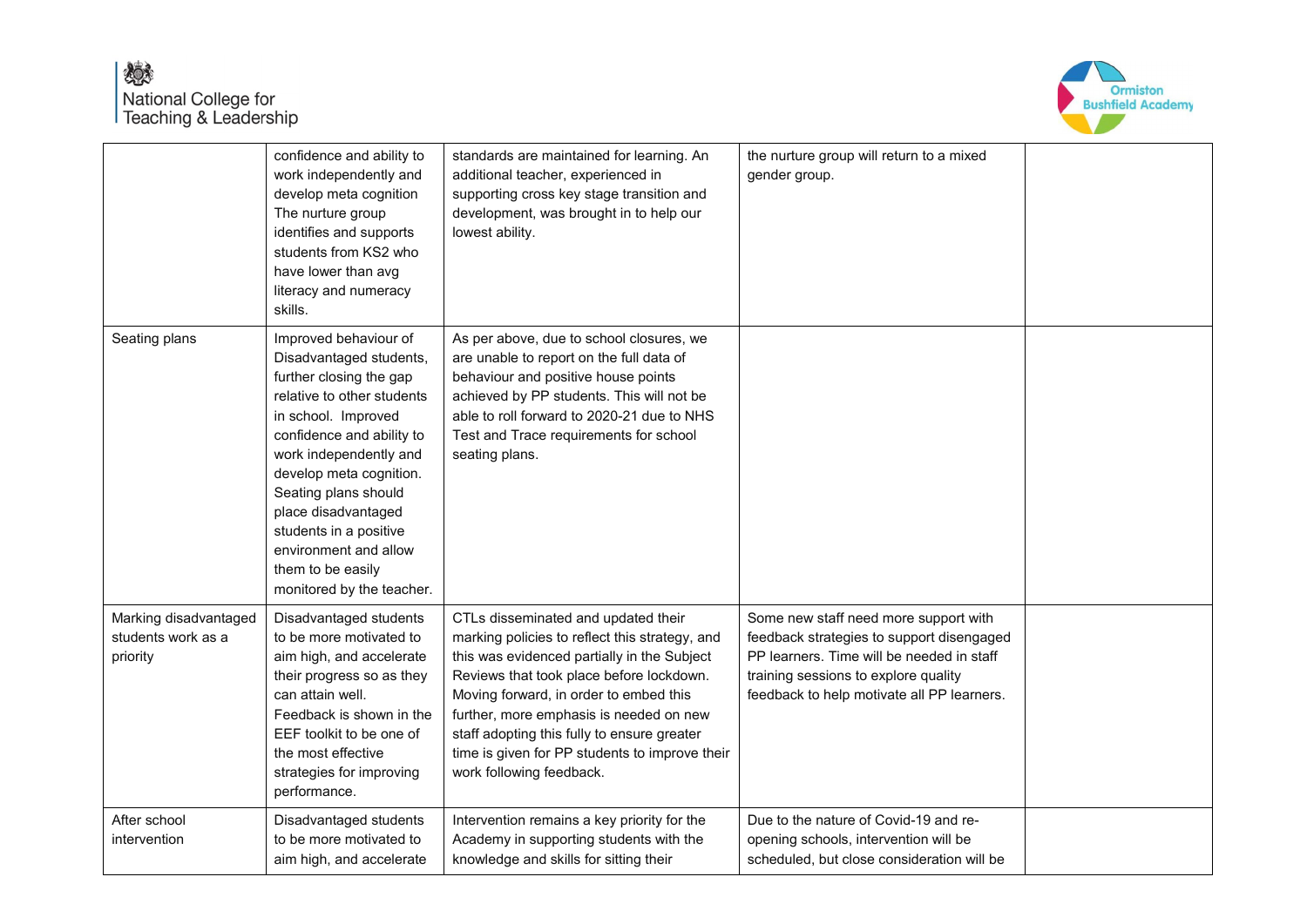## 嫁 National College for<br>Teaching & Leadership



|                                                         | confidence and ability to<br>work independently and<br>develop meta cognition<br>The nurture group<br>identifies and supports<br>students from KS2 who<br>have lower than avg<br>literacy and numeracy<br>skills.                                                                                                                                                      | standards are maintained for learning. An<br>additional teacher, experienced in<br>supporting cross key stage transition and<br>development, was brought in to help our<br>lowest ability.                                                                                                                                                                                                         | the nurture group will return to a mixed<br>gender group.                                                                                                                                                             |  |
|---------------------------------------------------------|------------------------------------------------------------------------------------------------------------------------------------------------------------------------------------------------------------------------------------------------------------------------------------------------------------------------------------------------------------------------|----------------------------------------------------------------------------------------------------------------------------------------------------------------------------------------------------------------------------------------------------------------------------------------------------------------------------------------------------------------------------------------------------|-----------------------------------------------------------------------------------------------------------------------------------------------------------------------------------------------------------------------|--|
| Seating plans                                           | Improved behaviour of<br>Disadvantaged students,<br>further closing the gap<br>relative to other students<br>in school. Improved<br>confidence and ability to<br>work independently and<br>develop meta cognition.<br>Seating plans should<br>place disadvantaged<br>students in a positive<br>environment and allow<br>them to be easily<br>monitored by the teacher. | As per above, due to school closures, we<br>are unable to report on the full data of<br>behaviour and positive house points<br>achieved by PP students. This will not be<br>able to roll forward to 2020-21 due to NHS<br>Test and Trace requirements for school<br>seating plans.                                                                                                                 |                                                                                                                                                                                                                       |  |
| Marking disadvantaged<br>students work as a<br>priority | Disadvantaged students<br>to be more motivated to<br>aim high, and accelerate<br>their progress so as they<br>can attain well.<br>Feedback is shown in the<br>EEF toolkit to be one of<br>the most effective<br>strategies for improving<br>performance.                                                                                                               | CTLs disseminated and updated their<br>marking policies to reflect this strategy, and<br>this was evidenced partially in the Subject<br>Reviews that took place before lockdown.<br>Moving forward, in order to embed this<br>further, more emphasis is needed on new<br>staff adopting this fully to ensure greater<br>time is given for PP students to improve their<br>work following feedback. | Some new staff need more support with<br>feedback strategies to support disengaged<br>PP learners. Time will be needed in staff<br>training sessions to explore quality<br>feedback to help motivate all PP learners. |  |
| After school<br>intervention                            | Disadvantaged students<br>to be more motivated to<br>aim high, and accelerate                                                                                                                                                                                                                                                                                          | Intervention remains a key priority for the<br>Academy in supporting students with the<br>knowledge and skills for sitting their                                                                                                                                                                                                                                                                   | Due to the nature of Covid-19 and re-<br>opening schools, intervention will be<br>scheduled, but close consideration will be                                                                                          |  |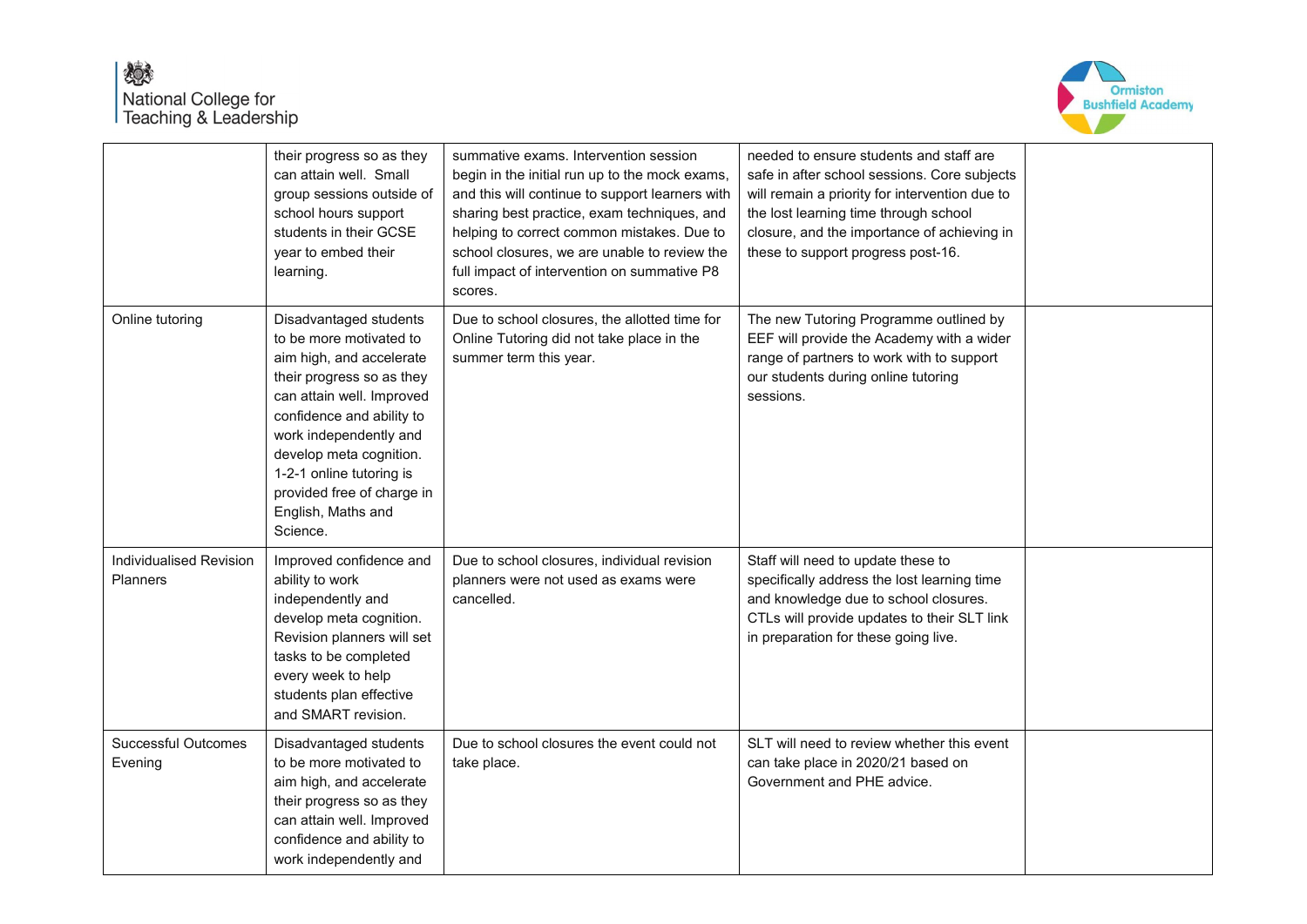

|                                                   | their progress so as they<br>can attain well. Small<br>group sessions outside of<br>school hours support<br>students in their GCSE<br>year to embed their<br>learning.                                                                                                                                                | summative exams. Intervention session<br>begin in the initial run up to the mock exams,<br>and this will continue to support learners with<br>sharing best practice, exam techniques, and<br>helping to correct common mistakes. Due to<br>school closures, we are unable to review the<br>full impact of intervention on summative P8<br>scores. | needed to ensure students and staff are<br>safe in after school sessions. Core subjects<br>will remain a priority for intervention due to<br>the lost learning time through school<br>closure, and the importance of achieving in<br>these to support progress post-16. |  |
|---------------------------------------------------|-----------------------------------------------------------------------------------------------------------------------------------------------------------------------------------------------------------------------------------------------------------------------------------------------------------------------|---------------------------------------------------------------------------------------------------------------------------------------------------------------------------------------------------------------------------------------------------------------------------------------------------------------------------------------------------|-------------------------------------------------------------------------------------------------------------------------------------------------------------------------------------------------------------------------------------------------------------------------|--|
| Online tutoring                                   | Disadvantaged students<br>to be more motivated to<br>aim high, and accelerate<br>their progress so as they<br>can attain well. Improved<br>confidence and ability to<br>work independently and<br>develop meta cognition.<br>1-2-1 online tutoring is<br>provided free of charge in<br>English, Maths and<br>Science. | Due to school closures, the allotted time for<br>Online Tutoring did not take place in the<br>summer term this year.                                                                                                                                                                                                                              | The new Tutoring Programme outlined by<br>EEF will provide the Academy with a wider<br>range of partners to work with to support<br>our students during online tutoring<br>sessions.                                                                                    |  |
| <b>Individualised Revision</b><br><b>Planners</b> | Improved confidence and<br>ability to work<br>independently and<br>develop meta cognition.<br>Revision planners will set<br>tasks to be completed<br>every week to help<br>students plan effective<br>and SMART revision.                                                                                             | Due to school closures, individual revision<br>planners were not used as exams were<br>cancelled.                                                                                                                                                                                                                                                 | Staff will need to update these to<br>specifically address the lost learning time<br>and knowledge due to school closures.<br>CTLs will provide updates to their SLT link<br>in preparation for these going live.                                                       |  |
| <b>Successful Outcomes</b><br>Evening             | Disadvantaged students<br>to be more motivated to<br>aim high, and accelerate<br>their progress so as they<br>can attain well. Improved<br>confidence and ability to<br>work independently and                                                                                                                        | Due to school closures the event could not<br>take place.                                                                                                                                                                                                                                                                                         | SLT will need to review whether this event<br>can take place in 2020/21 based on<br>Government and PHE advice.                                                                                                                                                          |  |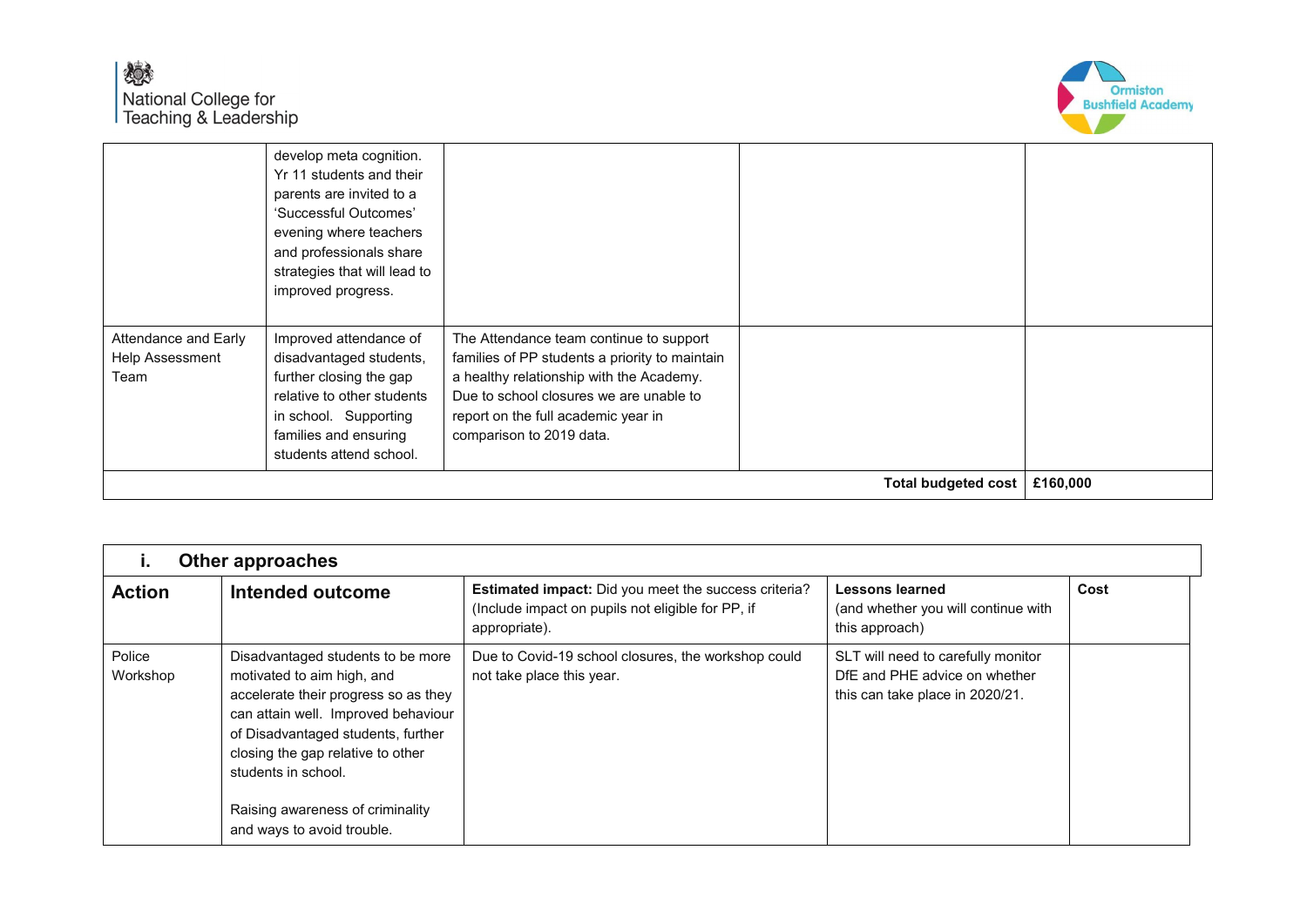

|                                                 | students attend school.                                                                                                                                                                       |                                                                                                                                                                                                                                                     | <b>Total budgeted cost</b> | £160,000 |
|-------------------------------------------------|-----------------------------------------------------------------------------------------------------------------------------------------------------------------------------------------------|-----------------------------------------------------------------------------------------------------------------------------------------------------------------------------------------------------------------------------------------------------|----------------------------|----------|
| Attendance and Early<br>Help Assessment<br>Team | improved progress.<br>Improved attendance of<br>disadvantaged students,<br>further closing the gap<br>relative to other students<br>in school. Supporting<br>families and ensuring            | The Attendance team continue to support<br>families of PP students a priority to maintain<br>a healthy relationship with the Academy.<br>Due to school closures we are unable to<br>report on the full academic year in<br>comparison to 2019 data. |                            |          |
|                                                 | develop meta cognition.<br>Yr 11 students and their<br>parents are invited to a<br>'Successful Outcomes'<br>evening where teachers<br>and professionals share<br>strategies that will lead to |                                                                                                                                                                                                                                                     |                            |          |

|                    | <b>Other approaches</b>                                                                                                                                                                                                                          |                                                                                                                            |                                                                                                        |      |  |
|--------------------|--------------------------------------------------------------------------------------------------------------------------------------------------------------------------------------------------------------------------------------------------|----------------------------------------------------------------------------------------------------------------------------|--------------------------------------------------------------------------------------------------------|------|--|
| <b>Action</b>      | Intended outcome                                                                                                                                                                                                                                 | Estimated impact: Did you meet the success criteria?<br>(Include impact on pupils not eligible for PP, if<br>appropriate). | Lessons learned<br>(and whether you will continue with<br>this approach)                               | Cost |  |
| Police<br>Workshop | Disadvantaged students to be more<br>motivated to aim high, and<br>accelerate their progress so as they<br>can attain well. Improved behaviour<br>of Disadvantaged students, further<br>closing the gap relative to other<br>students in school. | Due to Covid-19 school closures, the workshop could<br>not take place this year.                                           | SLT will need to carefully monitor<br>DfE and PHE advice on whether<br>this can take place in 2020/21. |      |  |
|                    | Raising awareness of criminality<br>and ways to avoid trouble.                                                                                                                                                                                   |                                                                                                                            |                                                                                                        |      |  |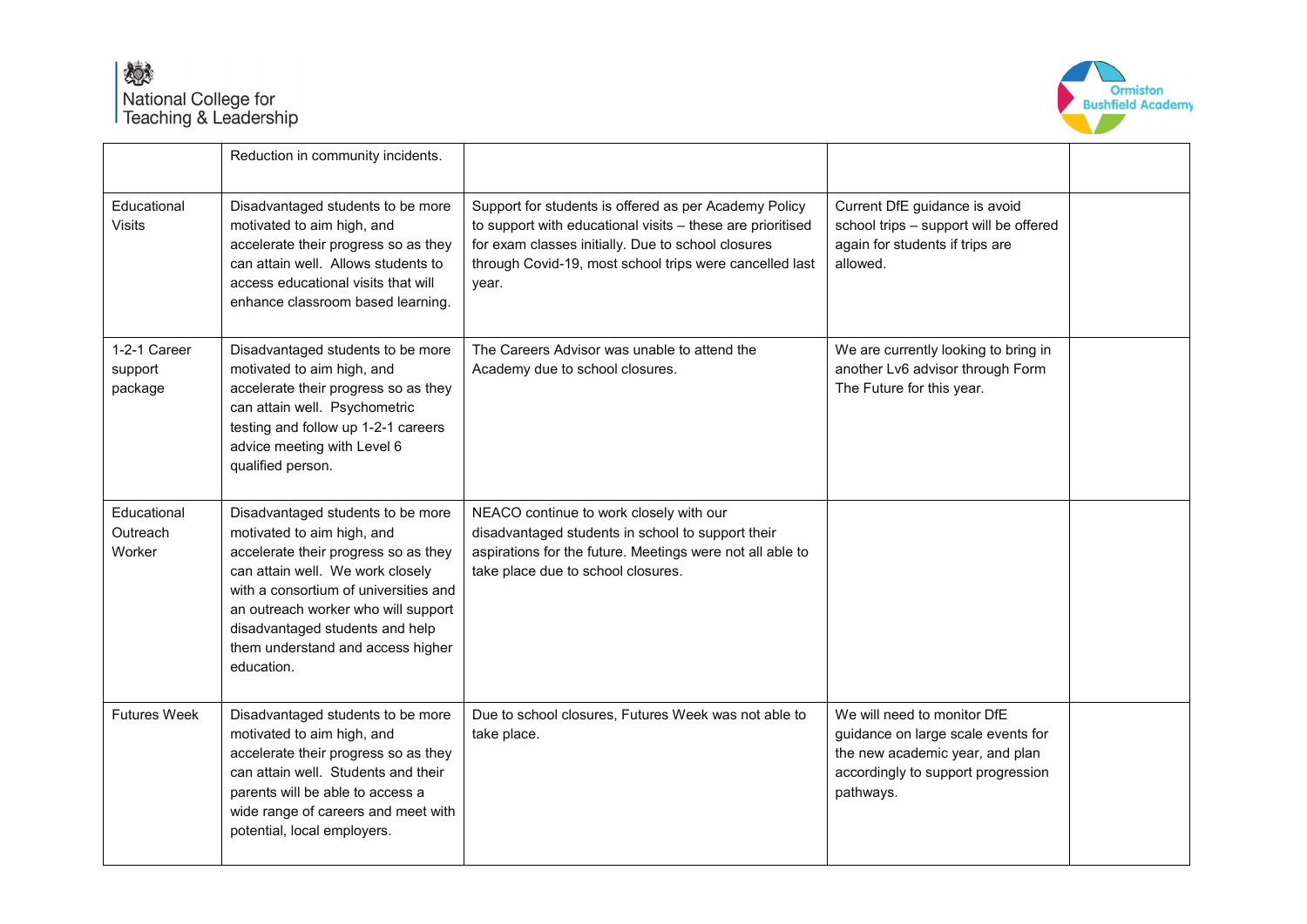

|                                    | Reduction in community incidents.                                                                                                                                                                                                                                                                                 |                                                                                                                                                                                                                                               |                                                                                                                                                         |  |
|------------------------------------|-------------------------------------------------------------------------------------------------------------------------------------------------------------------------------------------------------------------------------------------------------------------------------------------------------------------|-----------------------------------------------------------------------------------------------------------------------------------------------------------------------------------------------------------------------------------------------|---------------------------------------------------------------------------------------------------------------------------------------------------------|--|
| Educational<br>Visits              | Disadvantaged students to be more<br>motivated to aim high, and<br>accelerate their progress so as they<br>can attain well. Allows students to<br>access educational visits that will<br>enhance classroom based learning.                                                                                        | Support for students is offered as per Academy Policy<br>to support with educational visits - these are prioritised<br>for exam classes initially. Due to school closures<br>through Covid-19, most school trips were cancelled last<br>year. | Current DfE guidance is avoid<br>school trips - support will be offered<br>again for students if trips are<br>allowed.                                  |  |
| 1-2-1 Career<br>support<br>package | Disadvantaged students to be more<br>motivated to aim high, and<br>accelerate their progress so as they<br>can attain well. Psychometric<br>testing and follow up 1-2-1 careers<br>advice meeting with Level 6<br>qualified person.                                                                               | The Careers Advisor was unable to attend the<br>Academy due to school closures.                                                                                                                                                               | We are currently looking to bring in<br>another Lv6 advisor through Form<br>The Future for this year.                                                   |  |
| Educational<br>Outreach<br>Worker  | Disadvantaged students to be more<br>motivated to aim high, and<br>accelerate their progress so as they<br>can attain well. We work closely<br>with a consortium of universities and<br>an outreach worker who will support<br>disadvantaged students and help<br>them understand and access higher<br>education. | NEACO continue to work closely with our<br>disadvantaged students in school to support their<br>aspirations for the future. Meetings were not all able to<br>take place due to school closures.                                               |                                                                                                                                                         |  |
| <b>Futures Week</b>                | Disadvantaged students to be more<br>motivated to aim high, and<br>accelerate their progress so as they<br>can attain well. Students and their<br>parents will be able to access a<br>wide range of careers and meet with<br>potential, local employers.                                                          | Due to school closures, Futures Week was not able to<br>take place.                                                                                                                                                                           | We will need to monitor DfE<br>guidance on large scale events for<br>the new academic year, and plan<br>accordingly to support progression<br>pathways. |  |